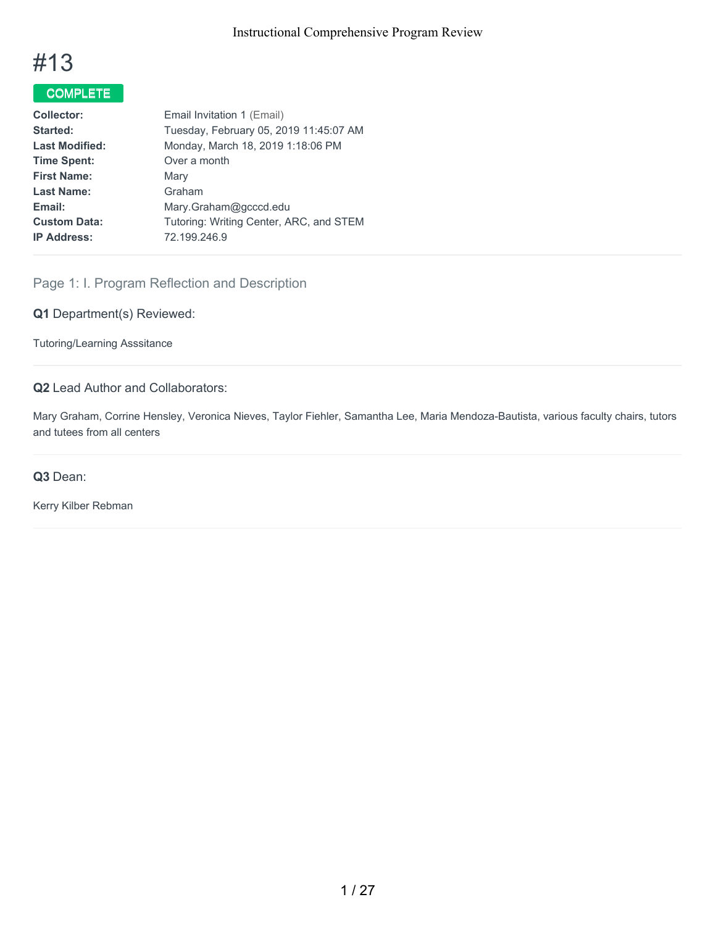

# COMPLETE

| <b>Collector:</b>     | Email Invitation 1 (Email)              |  |
|-----------------------|-----------------------------------------|--|
| Started:              | Tuesday, February 05, 2019 11:45:07 AM  |  |
| <b>Last Modified:</b> | Monday, March 18, 2019 1:18:06 PM       |  |
| <b>Time Spent:</b>    | Over a month                            |  |
| <b>First Name:</b>    | Mary                                    |  |
| <b>Last Name:</b>     | Graham                                  |  |
| Email:                | Mary.Graham@gcccd.edu                   |  |
| <b>Custom Data:</b>   | Tutoring: Writing Center, ARC, and STEM |  |
| <b>IP Address:</b>    | 72.199.246.9                            |  |
|                       |                                         |  |

## Page 1: I. Program Reflection and Description

**Q1** Department(s) Reviewed:

Tutoring/Learning Asssitance

## **Q2** Lead Author and Collaborators:

Mary Graham, Corrine Hensley, Veronica Nieves, Taylor Fiehler, Samantha Lee, Maria Mendoza-Bautista, various faculty chairs, tutors and tutees from all centers

#### **Q3** Dean:

Kerry Kilber Rebman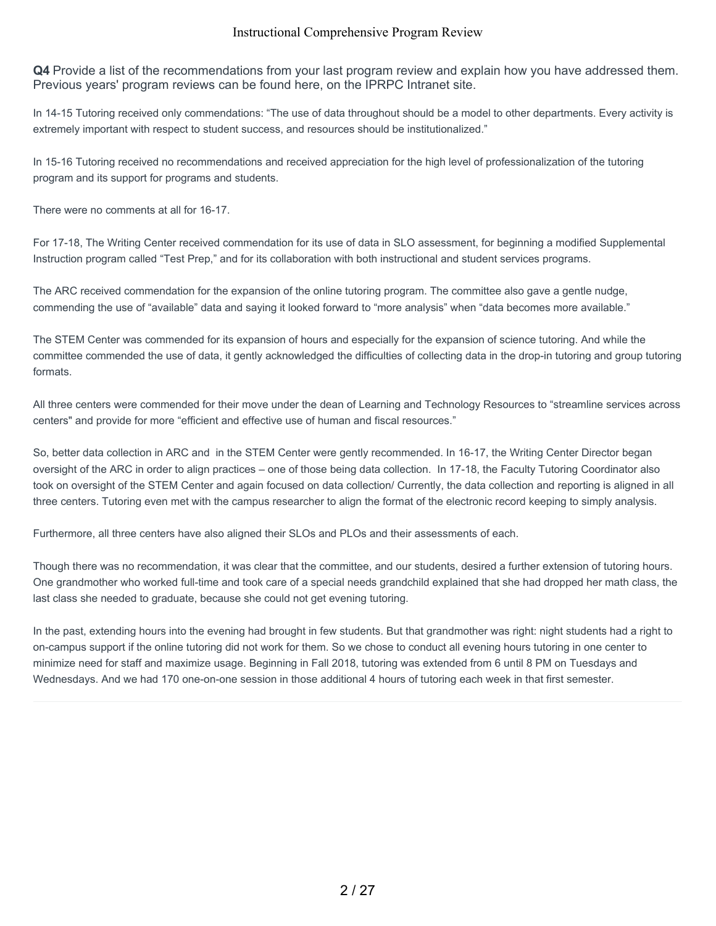**Q4** Provide a list of the recommendations from your last program review and explain how you have addressed them. Previous years' program reviews can be found here, on the IPRPC Intranet site.

In 14-15 Tutoring received only commendations: "The use of data throughout should be a model to other departments. Every activity is extremely important with respect to student success, and resources should be institutionalized."

In 15-16 Tutoring received no recommendations and received appreciation for the high level of professionalization of the tutoring program and its support for programs and students.

There were no comments at all for 16-17.

For 17-18, The Writing Center received commendation for its use of data in SLO assessment, for beginning a modified Supplemental Instruction program called "Test Prep," and for its collaboration with both instructional and student services programs.

The ARC received commendation for the expansion of the online tutoring program. The committee also gave a gentle nudge, commending the use of "available" data and saying it looked forward to "more analysis" when "data becomes more available."

The STEM Center was commended for its expansion of hours and especially for the expansion of science tutoring. And while the committee commended the use of data, it gently acknowledged the difficulties of collecting data in the drop-in tutoring and group tutoring formats.

All three centers were commended for their move under the dean of Learning and Technology Resources to "streamline services across centers" and provide for more "efficient and effective use of human and fiscal resources."

So, better data collection in ARC and in the STEM Center were gently recommended. In 16-17, the Writing Center Director began oversight of the ARC in order to align practices – one of those being data collection. In 17-18, the Faculty Tutoring Coordinator also took on oversight of the STEM Center and again focused on data collection/ Currently, the data collection and reporting is aligned in all three centers. Tutoring even met with the campus researcher to align the format of the electronic record keeping to simply analysis.

Furthermore, all three centers have also aligned their SLOs and PLOs and their assessments of each.

Though there was no recommendation, it was clear that the committee, and our students, desired a further extension of tutoring hours. One grandmother who worked full-time and took care of a special needs grandchild explained that she had dropped her math class, the last class she needed to graduate, because she could not get evening tutoring.

In the past, extending hours into the evening had brought in few students. But that grandmother was right: night students had a right to on-campus support if the online tutoring did not work for them. So we chose to conduct all evening hours tutoring in one center to minimize need for staff and maximize usage. Beginning in Fall 2018, tutoring was extended from 6 until 8 PM on Tuesdays and Wednesdays. And we had 170 one-on-one session in those additional 4 hours of tutoring each week in that first semester.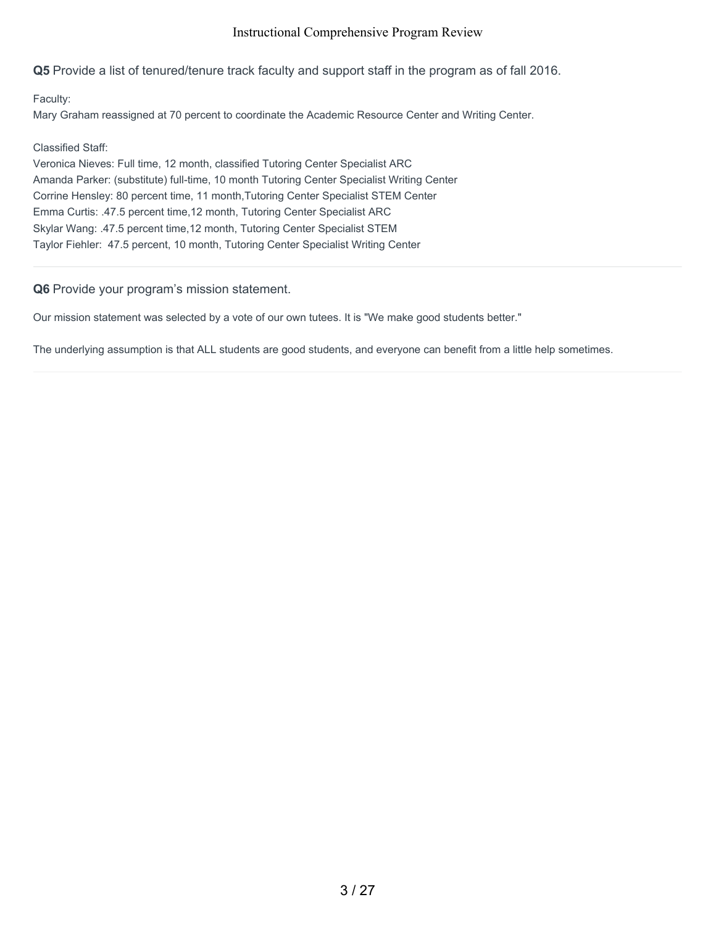**Q5** Provide a list of tenured/tenure track faculty and support staff in the program as of fall 2016.

Faculty:

Mary Graham reassigned at 70 percent to coordinate the Academic Resource Center and Writing Center.

Classified Staff:

Veronica Nieves: Full time, 12 month, classified Tutoring Center Specialist ARC Amanda Parker: (substitute) full-time, 10 month Tutoring Center Specialist Writing Center Corrine Hensley: 80 percent time, 11 month,Tutoring Center Specialist STEM Center Emma Curtis: .47.5 percent time,12 month, Tutoring Center Specialist ARC Skylar Wang: .47.5 percent time,12 month, Tutoring Center Specialist STEM Taylor Fiehler: 47.5 percent, 10 month, Tutoring Center Specialist Writing Center

**Q6** Provide your program's mission statement.

Our mission statement was selected by a vote of our own tutees. It is "We make good students better."

The underlying assumption is that ALL students are good students, and everyone can benefit from a little help sometimes.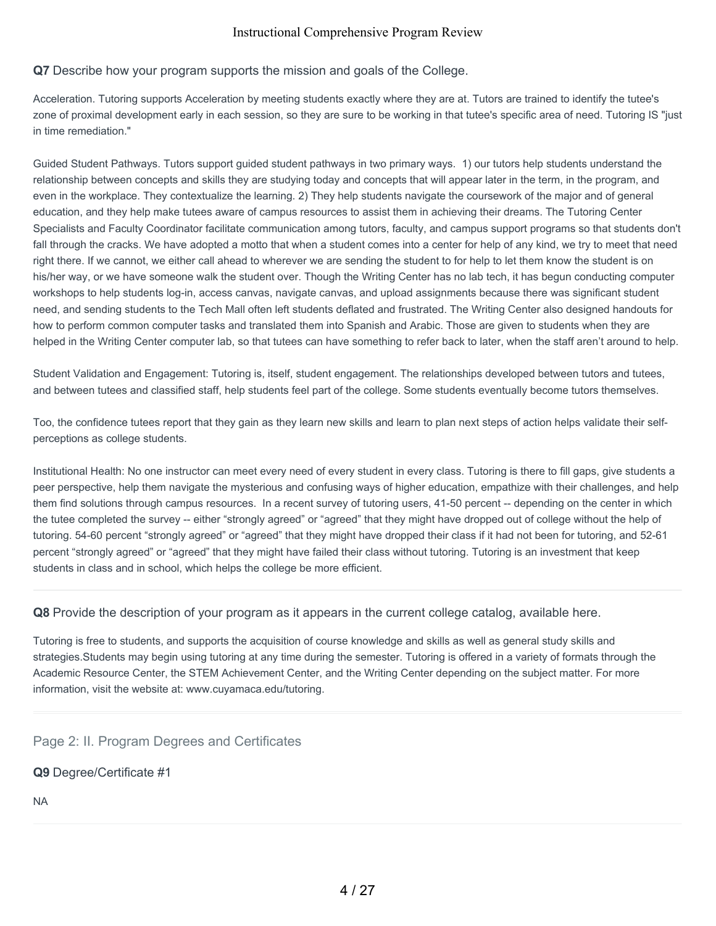#### **Q7** Describe how your program supports the mission and goals of the College.

Acceleration. Tutoring supports Acceleration by meeting students exactly where they are at. Tutors are trained to identify the tutee's zone of proximal development early in each session, so they are sure to be working in that tutee's specific area of need. Tutoring IS "just in time remediation."

Guided Student Pathways. Tutors support guided student pathways in two primary ways. 1) our tutors help students understand the relationship between concepts and skills they are studying today and concepts that will appear later in the term, in the program, and even in the workplace. They contextualize the learning. 2) They help students navigate the coursework of the major and of general education, and they help make tutees aware of campus resources to assist them in achieving their dreams. The Tutoring Center Specialists and Faculty Coordinator facilitate communication among tutors, faculty, and campus support programs so that students don't fall through the cracks. We have adopted a motto that when a student comes into a center for help of any kind, we try to meet that need right there. If we cannot, we either call ahead to wherever we are sending the student to for help to let them know the student is on his/her way, or we have someone walk the student over. Though the Writing Center has no lab tech, it has begun conducting computer workshops to help students log-in, access canvas, navigate canvas, and upload assignments because there was significant student need, and sending students to the Tech Mall often left students deflated and frustrated. The Writing Center also designed handouts for how to perform common computer tasks and translated them into Spanish and Arabic. Those are given to students when they are helped in the Writing Center computer lab, so that tutees can have something to refer back to later, when the staff aren't around to help.

Student Validation and Engagement: Tutoring is, itself, student engagement. The relationships developed between tutors and tutees, and between tutees and classified staff, help students feel part of the college. Some students eventually become tutors themselves.

Too, the confidence tutees report that they gain as they learn new skills and learn to plan next steps of action helps validate their selfperceptions as college students.

Institutional Health: No one instructor can meet every need of every student in every class. Tutoring is there to fill gaps, give students a peer perspective, help them navigate the mysterious and confusing ways of higher education, empathize with their challenges, and help them find solutions through campus resources. In a recent survey of tutoring users, 41-50 percent -- depending on the center in which the tutee completed the survey -- either "strongly agreed" or "agreed" that they might have dropped out of college without the help of tutoring. 54-60 percent "strongly agreed" or "agreed" that they might have dropped their class if it had not been for tutoring, and 52-61 percent "strongly agreed" or "agreed" that they might have failed their class without tutoring. Tutoring is an investment that keep students in class and in school, which helps the college be more efficient.

**Q8** Provide the description of your program as it appears in the current college catalog, available here.

Tutoring is free to students, and supports the acquisition of course knowledge and skills as well as general study skills and strategies.Students may begin using tutoring at any time during the semester. Tutoring is offered in a variety of formats through the Academic Resource Center, the STEM Achievement Center, and the Writing Center depending on the subject matter. For more information, visit the website at: www.cuyamaca.edu/tutoring.

Page 2: II. Program Degrees and Certificates

**Q9** Degree/Certificate #1

NA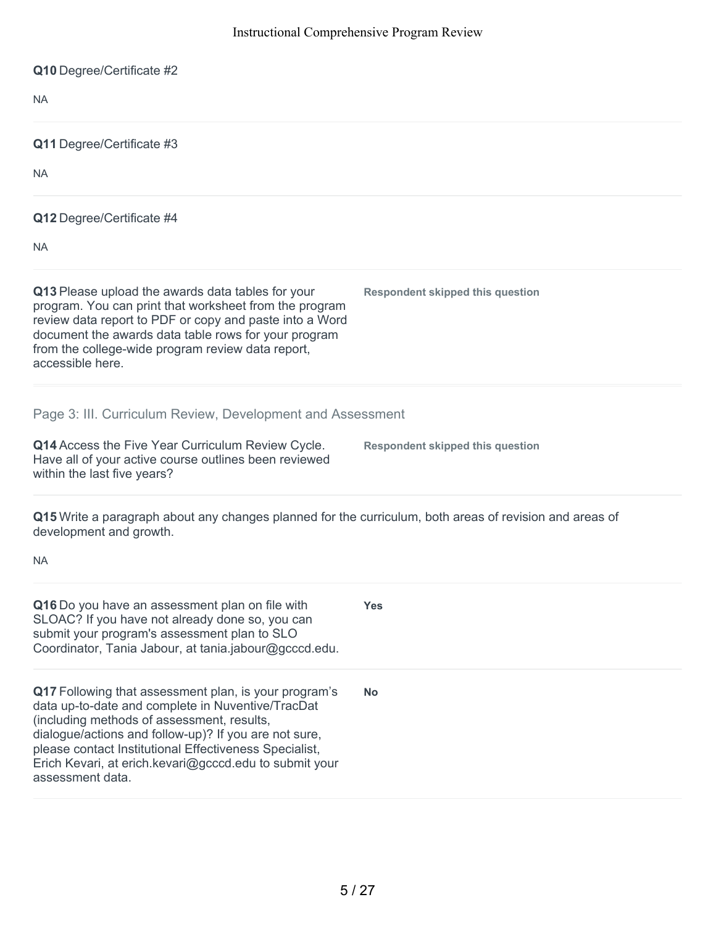| Q10 Degree/Certificate #2                                                                                                                                                                                                                                                                                                                                 |                                         |
|-----------------------------------------------------------------------------------------------------------------------------------------------------------------------------------------------------------------------------------------------------------------------------------------------------------------------------------------------------------|-----------------------------------------|
| <b>NA</b>                                                                                                                                                                                                                                                                                                                                                 |                                         |
| Q11 Degree/Certificate #3                                                                                                                                                                                                                                                                                                                                 |                                         |
| <b>NA</b>                                                                                                                                                                                                                                                                                                                                                 |                                         |
| Q12 Degree/Certificate #4                                                                                                                                                                                                                                                                                                                                 |                                         |
| <b>NA</b>                                                                                                                                                                                                                                                                                                                                                 |                                         |
| Q13 Please upload the awards data tables for your<br>program. You can print that worksheet from the program<br>review data report to PDF or copy and paste into a Word<br>document the awards data table rows for your program<br>from the college-wide program review data report,<br>accessible here.                                                   | <b>Respondent skipped this question</b> |
| Page 3: III. Curriculum Review, Development and Assessment                                                                                                                                                                                                                                                                                                |                                         |
| Q14 Access the Five Year Curriculum Review Cycle.<br>Have all of your active course outlines been reviewed<br>within the last five years?                                                                                                                                                                                                                 | <b>Respondent skipped this question</b> |
| Q15 Write a paragraph about any changes planned for the curriculum, both areas of revision and areas of<br>development and growth.                                                                                                                                                                                                                        |                                         |
| NA.                                                                                                                                                                                                                                                                                                                                                       |                                         |
| Q16 Do you have an assessment plan on file with<br>SLOAC? If you have not already done so, you can<br>submit your program's assessment plan to SLO<br>Coordinator, Tania Jabour, at tania.jabour@gcccd.edu.                                                                                                                                               | <b>Yes</b>                              |
| Q17 Following that assessment plan, is your program's<br>data up-to-date and complete in Nuventive/TracDat<br>(including methods of assessment, results,<br>dialogue/actions and follow-up)? If you are not sure,<br>please contact Institutional Effectiveness Specialist,<br>Erich Kevari, at erich.kevari@gcccd.edu to submit your<br>assessment data. | <b>No</b>                               |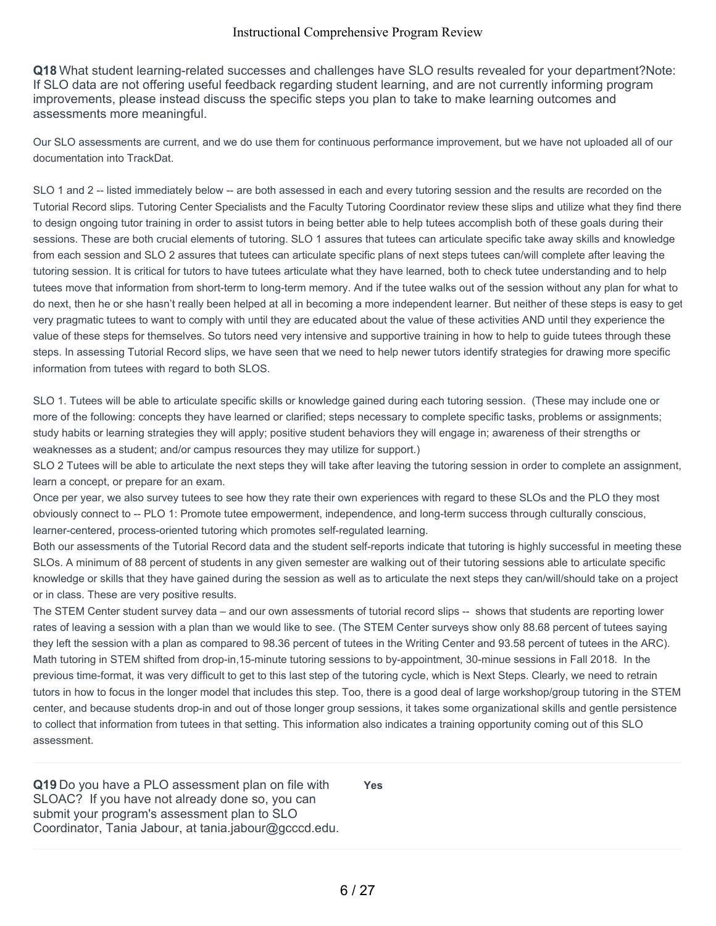**Q18** What student learning-related successes and challenges have SLO results revealed for your department?Note: If SLO data are not offering useful feedback regarding student learning, and are not currently informing program improvements, please instead discuss the specific steps you plan to take to make learning outcomes and assessments more meaningful.

Our SLO assessments are current, and we do use them for continuous performance improvement, but we have not uploaded all of our documentation into TrackDat.

SLO 1 and 2 -- listed immediately below -- are both assessed in each and every tutoring session and the results are recorded on the Tutorial Record slips. Tutoring Center Specialists and the Faculty Tutoring Coordinator review these slips and utilize what they find there to design ongoing tutor training in order to assist tutors in being better able to help tutees accomplish both of these goals during their sessions. These are both crucial elements of tutoring. SLO 1 assures that tutees can articulate specific take away skills and knowledge from each session and SLO 2 assures that tutees can articulate specific plans of next steps tutees can/will complete after leaving the tutoring session. It is critical for tutors to have tutees articulate what they have learned, both to check tutee understanding and to help tutees move that information from short-term to long-term memory. And if the tutee walks out of the session without any plan for what to do next, then he or she hasn't really been helped at all in becoming a more independent learner. But neither of these steps is easy to get very pragmatic tutees to want to comply with until they are educated about the value of these activities AND until they experience the value of these steps for themselves. So tutors need very intensive and supportive training in how to help to guide tutees through these steps. In assessing Tutorial Record slips, we have seen that we need to help newer tutors identify strategies for drawing more specific information from tutees with regard to both SLOS.

SLO 1. Tutees will be able to articulate specific skills or knowledge gained during each tutoring session. (These may include one or more of the following: concepts they have learned or clarified; steps necessary to complete specific tasks, problems or assignments; study habits or learning strategies they will apply; positive student behaviors they will engage in; awareness of their strengths or weaknesses as a student; and/or campus resources they may utilize for support.)

SLO 2 Tutees will be able to articulate the next steps they will take after leaving the tutoring session in order to complete an assignment, learn a concept, or prepare for an exam.

Once per year, we also survey tutees to see how they rate their own experiences with regard to these SLOs and the PLO they most obviously connect to -- PLO 1: Promote tutee empowerment, independence, and long-term success through culturally conscious, learner-centered, process-oriented tutoring which promotes self-regulated learning.

Both our assessments of the Tutorial Record data and the student self-reports indicate that tutoring is highly successful in meeting these SLOs. A minimum of 88 percent of students in any given semester are walking out of their tutoring sessions able to articulate specific knowledge or skills that they have gained during the session as well as to articulate the next steps they can/will/should take on a project or in class. These are very positive results.

The STEM Center student survey data – and our own assessments of tutorial record slips -- shows that students are reporting lower rates of leaving a session with a plan than we would like to see. (The STEM Center surveys show only 88.68 percent of tutees saying they left the session with a plan as compared to 98.36 percent of tutees in the Writing Center and 93.58 percent of tutees in the ARC). Math tutoring in STEM shifted from drop-in,15-minute tutoring sessions to by-appointment, 30-minue sessions in Fall 2018. In the previous time-format, it was very difficult to get to this last step of the tutoring cycle, which is Next Steps. Clearly, we need to retrain tutors in how to focus in the longer model that includes this step. Too, there is a good deal of large workshop/group tutoring in the STEM center, and because students drop-in and out of those longer group sessions, it takes some organizational skills and gentle persistence to collect that information from tutees in that setting. This information also indicates a training opportunity coming out of this SLO assessment.

**Q19** Do you have a PLO assessment plan on file with SLOAC? If you have not already done so, you can submit your program's assessment plan to SLO Coordinator, Tania Jabour, at tania.jabour@gcccd.edu.

**Yes**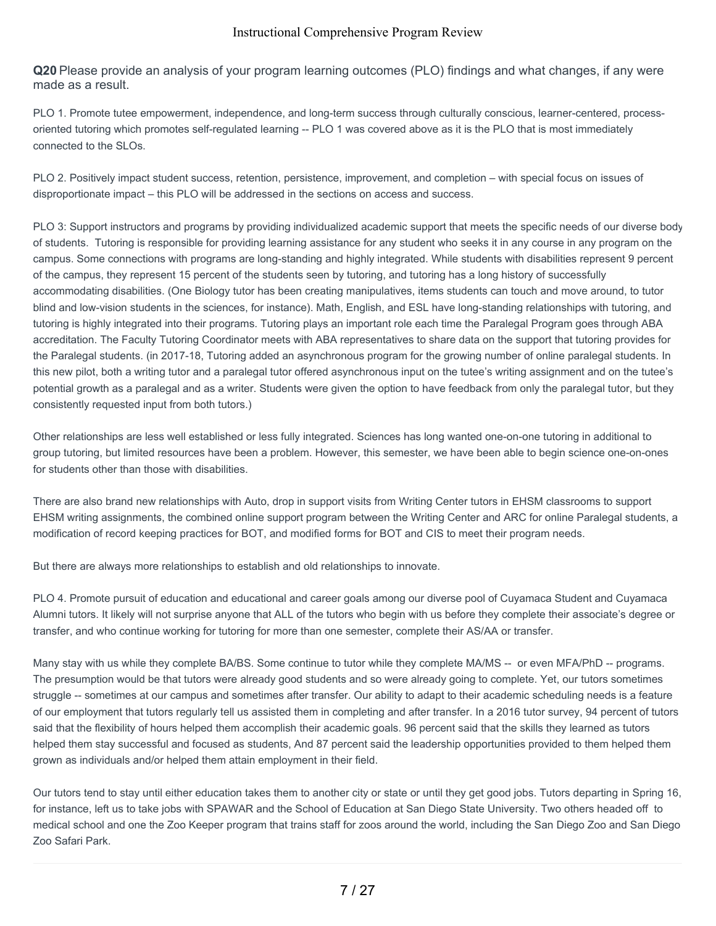**Q20** Please provide an analysis of your program learning outcomes (PLO) findings and what changes, if any were made as a result.

PLO 1. Promote tutee empowerment, independence, and long-term success through culturally conscious, learner-centered, processoriented tutoring which promotes self-regulated learning -- PLO 1 was covered above as it is the PLO that is most immediately connected to the SLOs.

PLO 2. Positively impact student success, retention, persistence, improvement, and completion – with special focus on issues of disproportionate impact – this PLO will be addressed in the sections on access and success.

PLO 3: Support instructors and programs by providing individualized academic support that meets the specific needs of our diverse body of students. Tutoring is responsible for providing learning assistance for any student who seeks it in any course in any program on the campus. Some connections with programs are long-standing and highly integrated. While students with disabilities represent 9 percent of the campus, they represent 15 percent of the students seen by tutoring, and tutoring has a long history of successfully accommodating disabilities. (One Biology tutor has been creating manipulatives, items students can touch and move around, to tutor blind and low-vision students in the sciences, for instance). Math, English, and ESL have long-standing relationships with tutoring, and tutoring is highly integrated into their programs. Tutoring plays an important role each time the Paralegal Program goes through ABA accreditation. The Faculty Tutoring Coordinator meets with ABA representatives to share data on the support that tutoring provides for the Paralegal students. (in 2017-18, Tutoring added an asynchronous program for the growing number of online paralegal students. In this new pilot, both a writing tutor and a paralegal tutor offered asynchronous input on the tutee's writing assignment and on the tutee's potential growth as a paralegal and as a writer. Students were given the option to have feedback from only the paralegal tutor, but they consistently requested input from both tutors.)

Other relationships are less well established or less fully integrated. Sciences has long wanted one-on-one tutoring in additional to group tutoring, but limited resources have been a problem. However, this semester, we have been able to begin science one-on-ones for students other than those with disabilities.

There are also brand new relationships with Auto, drop in support visits from Writing Center tutors in EHSM classrooms to support EHSM writing assignments, the combined online support program between the Writing Center and ARC for online Paralegal students, a modification of record keeping practices for BOT, and modified forms for BOT and CIS to meet their program needs.

But there are always more relationships to establish and old relationships to innovate.

PLO 4. Promote pursuit of education and educational and career goals among our diverse pool of Cuyamaca Student and Cuyamaca Alumni tutors. It likely will not surprise anyone that ALL of the tutors who begin with us before they complete their associate's degree or transfer, and who continue working for tutoring for more than one semester, complete their AS/AA or transfer.

Many stay with us while they complete BA/BS. Some continue to tutor while they complete MA/MS -- or even MFA/PhD -- programs. The presumption would be that tutors were already good students and so were already going to complete. Yet, our tutors sometimes struggle -- sometimes at our campus and sometimes after transfer. Our ability to adapt to their academic scheduling needs is a feature of our employment that tutors regularly tell us assisted them in completing and after transfer. In a 2016 tutor survey, 94 percent of tutors said that the flexibility of hours helped them accomplish their academic goals. 96 percent said that the skills they learned as tutors helped them stay successful and focused as students, And 87 percent said the leadership opportunities provided to them helped them grown as individuals and/or helped them attain employment in their field.

Our tutors tend to stay until either education takes them to another city or state or until they get good jobs. Tutors departing in Spring 16, for instance, left us to take jobs with SPAWAR and the School of Education at San Diego State University. Two others headed off to medical school and one the Zoo Keeper program that trains staff for zoos around the world, including the San Diego Zoo and San Diego Zoo Safari Park.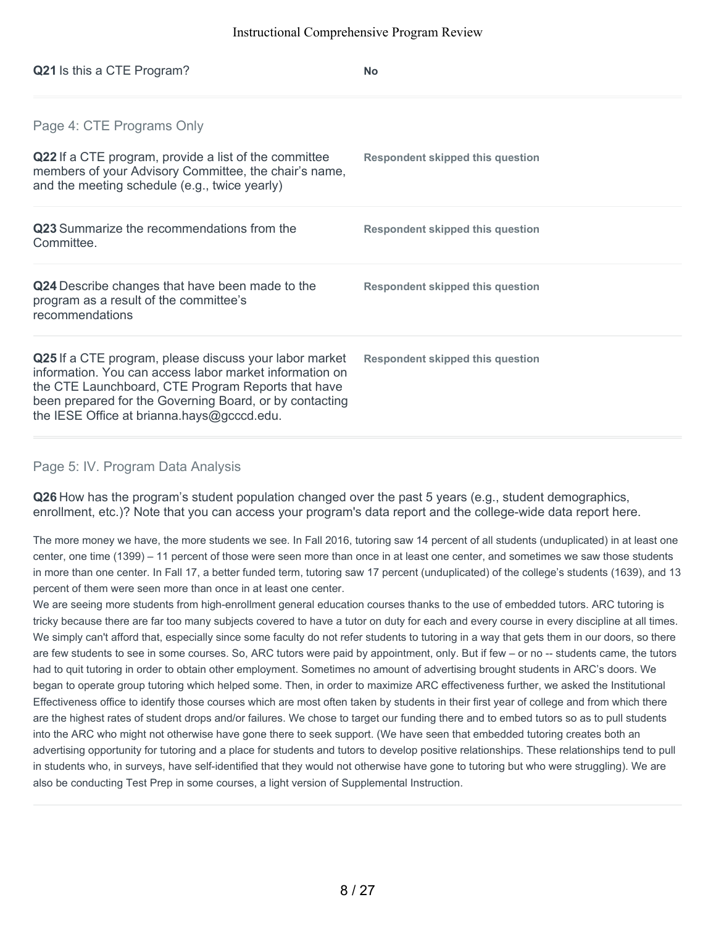| <b>Q21</b> Is this a CTE Program?                                                                                                                                                                                                                                                | <b>No</b>                               |
|----------------------------------------------------------------------------------------------------------------------------------------------------------------------------------------------------------------------------------------------------------------------------------|-----------------------------------------|
| Page 4: CTE Programs Only                                                                                                                                                                                                                                                        |                                         |
| Q22 If a CTE program, provide a list of the committee<br>members of your Advisory Committee, the chair's name,<br>and the meeting schedule (e.g., twice yearly)                                                                                                                  | Respondent skipped this question        |
| <b>Q23</b> Summarize the recommendations from the<br>Committee.                                                                                                                                                                                                                  | <b>Respondent skipped this question</b> |
| Q24 Describe changes that have been made to the<br>program as a result of the committee's<br>recommendations                                                                                                                                                                     | Respondent skipped this question        |
| Q25 If a CTE program, please discuss your labor market<br>information. You can access labor market information on<br>the CTE Launchboard, CTE Program Reports that have<br>been prepared for the Governing Board, or by contacting<br>the IESE Office at brianna.hays@gcccd.edu. | <b>Respondent skipped this question</b> |

## Page 5: IV. Program Data Analysis

**Q26** How has the program's student population changed over the past 5 years (e.g., student demographics, enrollment, etc.)? Note that you can access your program's data report and the college-wide data report here.

The more money we have, the more students we see. In Fall 2016, tutoring saw 14 percent of all students (unduplicated) in at least one center, one time (1399) – 11 percent of those were seen more than once in at least one center, and sometimes we saw those students in more than one center. In Fall 17, a better funded term, tutoring saw 17 percent (unduplicated) of the college's students (1639), and 13 percent of them were seen more than once in at least one center.

We are seeing more students from high-enrollment general education courses thanks to the use of embedded tutors. ARC tutoring is tricky because there are far too many subjects covered to have a tutor on duty for each and every course in every discipline at all times. We simply can't afford that, especially since some faculty do not refer students to tutoring in a way that gets them in our doors, so there are few students to see in some courses. So, ARC tutors were paid by appointment, only. But if few – or no -- students came, the tutors had to quit tutoring in order to obtain other employment. Sometimes no amount of advertising brought students in ARC's doors. We began to operate group tutoring which helped some. Then, in order to maximize ARC effectiveness further, we asked the Institutional Effectiveness office to identify those courses which are most often taken by students in their first year of college and from which there are the highest rates of student drops and/or failures. We chose to target our funding there and to embed tutors so as to pull students into the ARC who might not otherwise have gone there to seek support. (We have seen that embedded tutoring creates both an advertising opportunity for tutoring and a place for students and tutors to develop positive relationships. These relationships tend to pull in students who, in surveys, have self-identified that they would not otherwise have gone to tutoring but who were struggling). We are also be conducting Test Prep in some courses, a light version of Supplemental Instruction.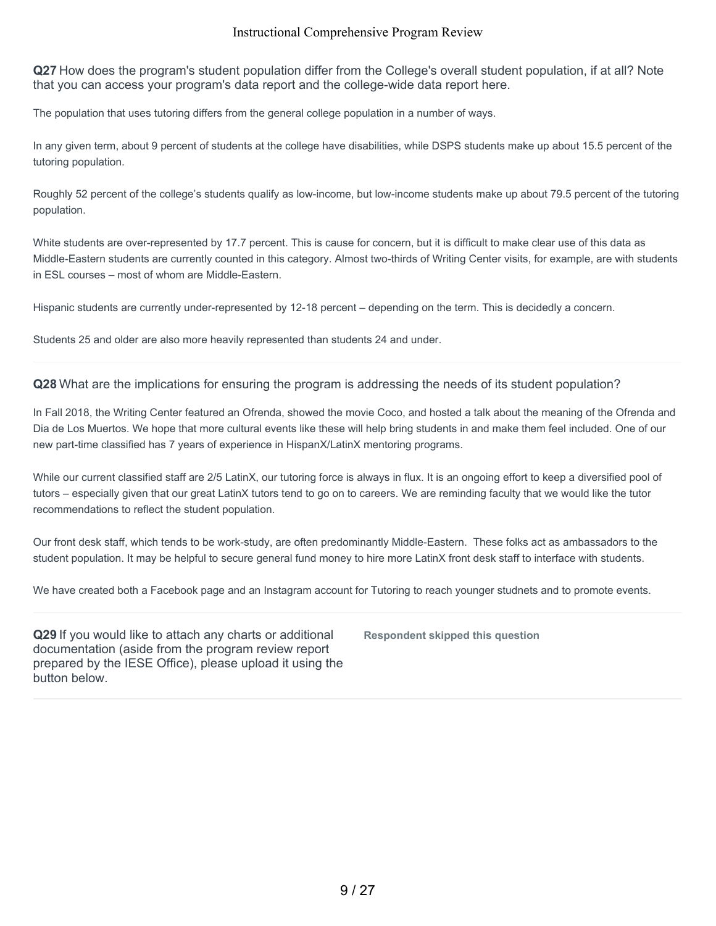**Q27** How does the program's student population differ from the College's overall student population, if at all? Note that you can access your program's data report and the college-wide data report here.

The population that uses tutoring differs from the general college population in a number of ways.

In any given term, about 9 percent of students at the college have disabilities, while DSPS students make up about 15.5 percent of the tutoring population.

Roughly 52 percent of the college's students qualify as low-income, but low-income students make up about 79.5 percent of the tutoring population.

White students are over-represented by 17.7 percent. This is cause for concern, but it is difficult to make clear use of this data as Middle-Eastern students are currently counted in this category. Almost two-thirds of Writing Center visits, for example, are with students in ESL courses – most of whom are Middle-Eastern.

Hispanic students are currently under-represented by 12-18 percent – depending on the term. This is decidedly a concern.

Students 25 and older are also more heavily represented than students 24 and under.

**Q28** What are the implications for ensuring the program is addressing the needs of its student population?

In Fall 2018, the Writing Center featured an Ofrenda, showed the movie Coco, and hosted a talk about the meaning of the Ofrenda and Dia de Los Muertos. We hope that more cultural events like these will help bring students in and make them feel included. One of our new part-time classified has 7 years of experience in HispanX/LatinX mentoring programs.

While our current classified staff are 2/5 LatinX, our tutoring force is always in flux. It is an ongoing effort to keep a diversified pool of tutors – especially given that our great LatinX tutors tend to go on to careers. We are reminding faculty that we would like the tutor recommendations to reflect the student population.

Our front desk staff, which tends to be work-study, are often predominantly Middle-Eastern. These folks act as ambassadors to the student population. It may be helpful to secure general fund money to hire more LatinX front desk staff to interface with students.

We have created both a Facebook page and an Instagram account for Tutoring to reach younger studnets and to promote events.

**Q29** If you would like to attach any charts or additional documentation (aside from the program review report prepared by the IESE Office), please upload it using the button below.

**Respondent skipped this question**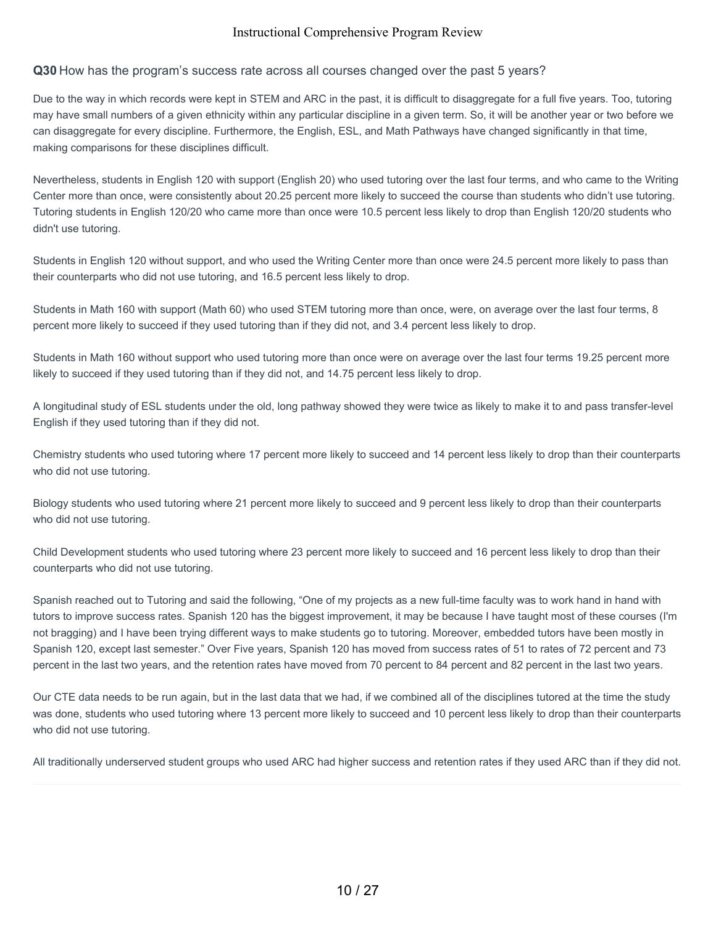### **Q30** How has the program's success rate across all courses changed over the past 5 years?

Due to the way in which records were kept in STEM and ARC in the past, it is difficult to disaggregate for a full five years. Too, tutoring may have small numbers of a given ethnicity within any particular discipline in a given term. So, it will be another year or two before we can disaggregate for every discipline. Furthermore, the English, ESL, and Math Pathways have changed significantly in that time, making comparisons for these disciplines difficult.

Nevertheless, students in English 120 with support (English 20) who used tutoring over the last four terms, and who came to the Writing Center more than once, were consistently about 20.25 percent more likely to succeed the course than students who didn't use tutoring. Tutoring students in English 120/20 who came more than once were 10.5 percent less likely to drop than English 120/20 students who didn't use tutoring.

Students in English 120 without support, and who used the Writing Center more than once were 24.5 percent more likely to pass than their counterparts who did not use tutoring, and 16.5 percent less likely to drop.

Students in Math 160 with support (Math 60) who used STEM tutoring more than once, were, on average over the last four terms, 8 percent more likely to succeed if they used tutoring than if they did not, and 3.4 percent less likely to drop.

Students in Math 160 without support who used tutoring more than once were on average over the last four terms 19.25 percent more likely to succeed if they used tutoring than if they did not, and 14.75 percent less likely to drop.

A longitudinal study of ESL students under the old, long pathway showed they were twice as likely to make it to and pass transfer-level English if they used tutoring than if they did not.

Chemistry students who used tutoring where 17 percent more likely to succeed and 14 percent less likely to drop than their counterparts who did not use tutoring.

Biology students who used tutoring where 21 percent more likely to succeed and 9 percent less likely to drop than their counterparts who did not use tutoring.

Child Development students who used tutoring where 23 percent more likely to succeed and 16 percent less likely to drop than their counterparts who did not use tutoring.

Spanish reached out to Tutoring and said the following, "One of my projects as a new full-time faculty was to work hand in hand with tutors to improve success rates. Spanish 120 has the biggest improvement, it may be because I have taught most of these courses (I'm not bragging) and I have been trying different ways to make students go to tutoring. Moreover, embedded tutors have been mostly in Spanish 120, except last semester." Over Five years, Spanish 120 has moved from success rates of 51 to rates of 72 percent and 73 percent in the last two years, and the retention rates have moved from 70 percent to 84 percent and 82 percent in the last two years.

Our CTE data needs to be run again, but in the last data that we had, if we combined all of the disciplines tutored at the time the study was done, students who used tutoring where 13 percent more likely to succeed and 10 percent less likely to drop than their counterparts who did not use tutoring.

All traditionally underserved student groups who used ARC had higher success and retention rates if they used ARC than if they did not.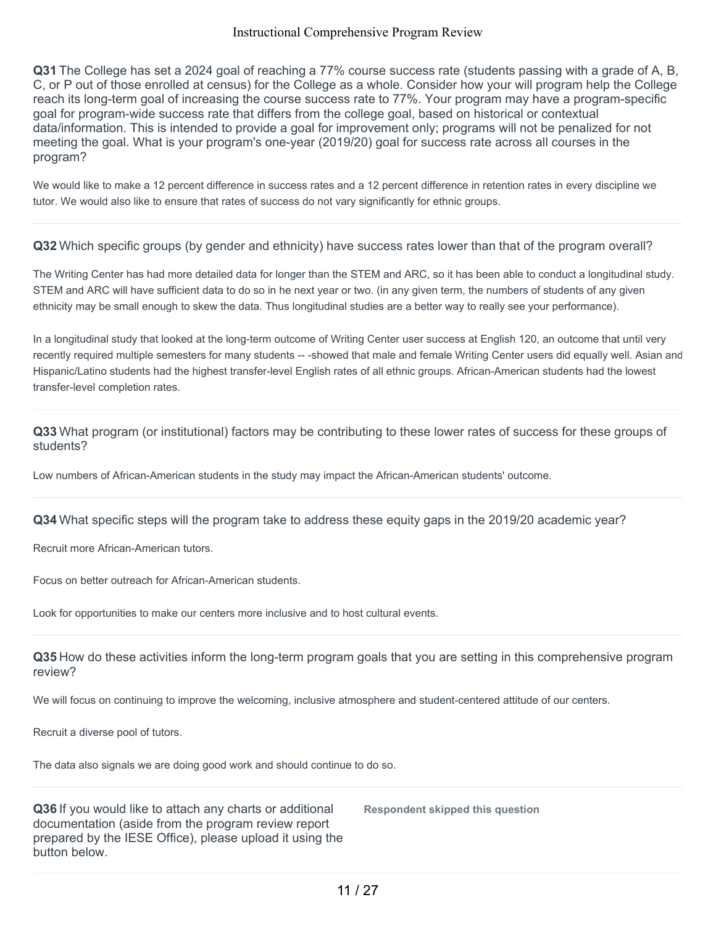**Q31** The College has set a 2024 goal of reaching a 77% course success rate (students passing with a grade of A, B, C, or P out of those enrolled at census) for the College as a whole. Consider how your will program help the College reach its long-term goal of increasing the course success rate to 77%. Your program may have a program-specific goal for program-wide success rate that differs from the college goal, based on historical or contextual data/information. This is intended to provide a goal for improvement only; programs will not be penalized for not meeting the goal. What is your program's one-year (2019/20) goal for success rate across all courses in the program?

We would like to make a 12 percent difference in success rates and a 12 percent difference in retention rates in every discipline we tutor. We would also like to ensure that rates of success do not vary significantly for ethnic groups.

**Q32** Which specific groups (by gender and ethnicity) have success rates lower than that of the program overall?

The Writing Center has had more detailed data for longer than the STEM and ARC, so it has been able to conduct a longitudinal study. STEM and ARC will have sufficient data to do so in he next year or two. (in any given term, the numbers of students of any given ethnicity may be small enough to skew the data. Thus longitudinal studies are a better way to really see your performance).

In a longitudinal study that looked at the long-term outcome of Writing Center user success at English 120, an outcome that until very recently required multiple semesters for many students -- -showed that male and female Writing Center users did equally well. Asian and Hispanic/Latino students had the highest transfer-level English rates of all ethnic groups. African-American students had the lowest transfer-level completion rates.

**Q33** What program (or institutional) factors may be contributing to these lower rates of success for these groups of students?

Low numbers of African-American students in the study may impact the African-American students' outcome.

**Q34** What specific steps will the program take to address these equity gaps in the 2019/20 academic year?

Recruit more African-American tutors.

Focus on better outreach for African-American students.

Look for opportunities to make our centers more inclusive and to host cultural events.

**Q35** How do these activities inform the long-term program goals that you are setting in this comprehensive program review?

We will focus on continuing to improve the welcoming, inclusive atmosphere and student-centered attitude of our centers.

Recruit a diverse pool of tutors.

The data also signals we are doing good work and should continue to do so.

**Q36** If you would like to attach any charts or additional documentation (aside from the program review report prepared by the IESE Office), please upload it using the button below.

**Respondent skipped this question**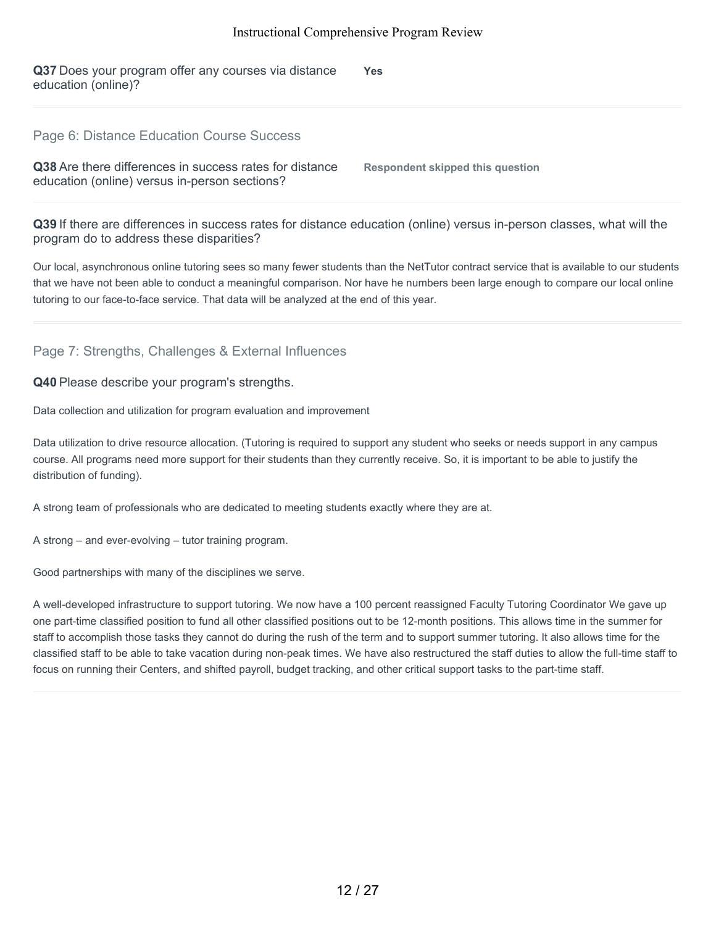**Q37** Does your program offer any courses via distance education (online)? **Yes**

#### Page 6: Distance Education Course Success

**Q38** Are there differences in success rates for distance education (online) versus in-person sections?

**Respondent skipped this question**

**Q39** If there are differences in success rates for distance education (online) versus in-person classes, what will the program do to address these disparities?

Our local, asynchronous online tutoring sees so many fewer students than the NetTutor contract service that is available to our students that we have not been able to conduct a meaningful comparison. Nor have he numbers been large enough to compare our local online tutoring to our face-to-face service. That data will be analyzed at the end of this year.

## Page 7: Strengths, Challenges & External Influences

**Q40** Please describe your program's strengths.

Data collection and utilization for program evaluation and improvement

Data utilization to drive resource allocation. (Tutoring is required to support any student who seeks or needs support in any campus course. All programs need more support for their students than they currently receive. So, it is important to be able to justify the distribution of funding).

A strong team of professionals who are dedicated to meeting students exactly where they are at.

A strong – and ever-evolving – tutor training program.

Good partnerships with many of the disciplines we serve.

A well-developed infrastructure to support tutoring. We now have a 100 percent reassigned Faculty Tutoring Coordinator We gave up one part-time classified position to fund all other classified positions out to be 12-month positions. This allows time in the summer for staff to accomplish those tasks they cannot do during the rush of the term and to support summer tutoring. It also allows time for the classified staff to be able to take vacation during non-peak times. We have also restructured the staff duties to allow the full-time staff to focus on running their Centers, and shifted payroll, budget tracking, and other critical support tasks to the part-time staff.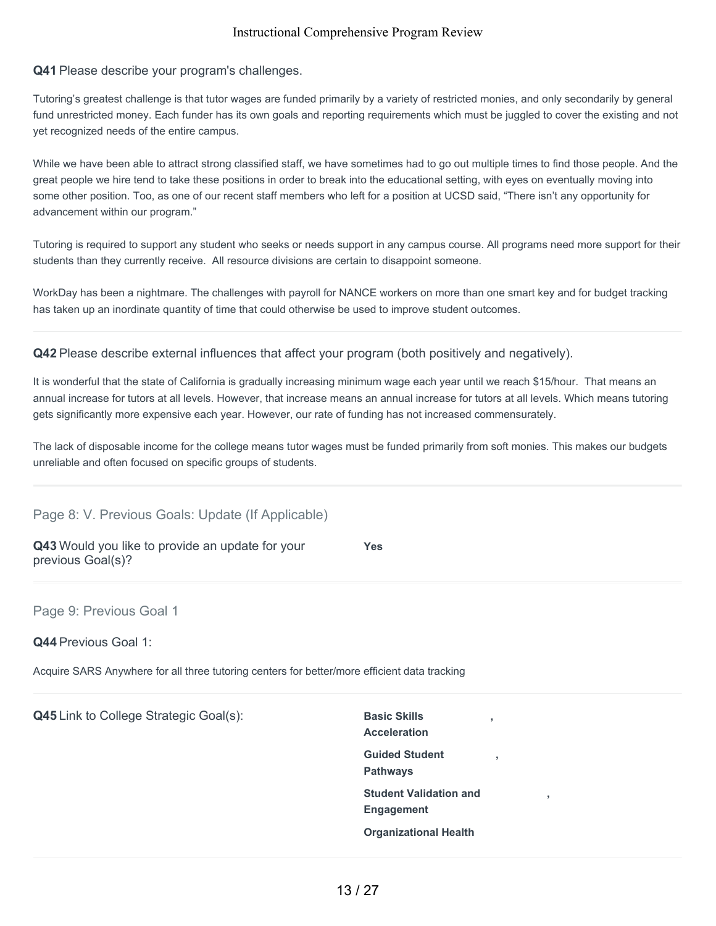### **Q41** Please describe your program's challenges.

Tutoring's greatest challenge is that tutor wages are funded primarily by a variety of restricted monies, and only secondarily by general fund unrestricted money. Each funder has its own goals and reporting requirements which must be juggled to cover the existing and not yet recognized needs of the entire campus.

While we have been able to attract strong classified staff, we have sometimes had to go out multiple times to find those people. And the great people we hire tend to take these positions in order to break into the educational setting, with eyes on eventually moving into some other position. Too, as one of our recent staff members who left for a position at UCSD said, "There isn't any opportunity for advancement within our program."

Tutoring is required to support any student who seeks or needs support in any campus course. All programs need more support for their students than they currently receive. All resource divisions are certain to disappoint someone.

WorkDay has been a nightmare. The challenges with payroll for NANCE workers on more than one smart key and for budget tracking has taken up an inordinate quantity of time that could otherwise be used to improve student outcomes.

**Q42** Please describe external influences that affect your program (both positively and negatively).

It is wonderful that the state of California is gradually increasing minimum wage each year until we reach \$15/hour. That means an annual increase for tutors at all levels. However, that increase means an annual increase for tutors at all levels. Which means tutoring gets significantly more expensive each year. However, our rate of funding has not increased commensurately.

The lack of disposable income for the college means tutor wages must be funded primarily from soft monies. This makes our budgets unreliable and often focused on specific groups of students.

## Page 8: V. Previous Goals: Update (If Applicable)

**Q43** Would you like to provide an update for your previous Goal(s)?

**Yes**

Page 9: Previous Goal 1

**Q44** Previous Goal 1:

Acquire SARS Anywhere for all three tutoring centers for better/more efficient data tracking

**Q45** Link to College Strategic Goal(s): Basic Skills

**Acceleration Guided Student Pathways Student Validation and Engagement Organizational Health**

**,**

**,**

**,**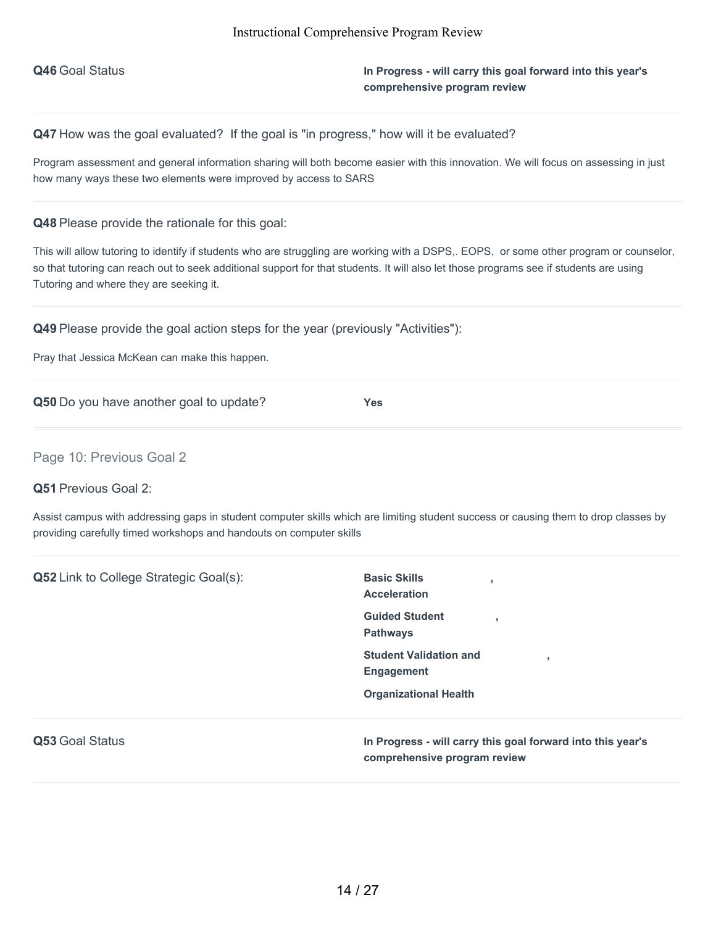**Q46** Goal Status **In Progress - will carry this goal forward into this year's comprehensive program review**

Q47 How was the goal evaluated? If the goal is "in progress," how will it be evaluated?

Program assessment and general information sharing will both become easier with this innovation. We will focus on assessing in just how many ways these two elements were improved by access to SARS

**Q48** Please provide the rationale for this goal:

This will allow tutoring to identify if students who are struggling are working with a DSPS,. EOPS, or some other program or counselor, so that tutoring can reach out to seek additional support for that students. It will also let those programs see if students are using Tutoring and where they are seeking it.

**Q49** Please provide the goal action steps for the year (previously "Activities"):

Pray that Jessica McKean can make this happen.

**Q50** Do you have another goal to update? **Yes**

Page 10: Previous Goal 2

**Q51** Previous Goal 2:

Assist campus with addressing gaps in student computer skills which are limiting student success or causing them to drop classes by providing carefully timed workshops and handouts on computer skills

| <b>Q52</b> Link to College Strategic Goal(s): | <b>Basic Skills</b><br>п,<br><b>Acceleration</b>                                            |
|-----------------------------------------------|---------------------------------------------------------------------------------------------|
|                                               | <b>Guided Student</b><br>п,<br><b>Pathways</b>                                              |
|                                               | <b>Student Validation and</b><br><b>Engagement</b>                                          |
|                                               | <b>Organizational Health</b>                                                                |
| Q53 Goal Status                               | In Progress - will carry this goal forward into this year's<br>comprehensive program review |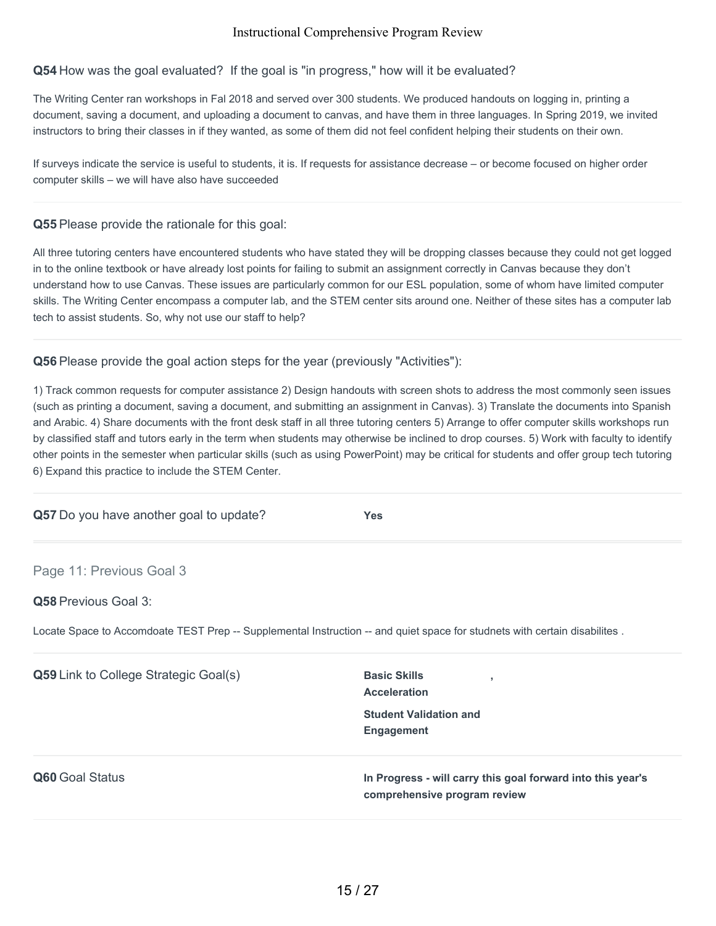### **Q54** How was the goal evaluated? If the goal is "in progress," how will it be evaluated?

The Writing Center ran workshops in Fal 2018 and served over 300 students. We produced handouts on logging in, printing a document, saving a document, and uploading a document to canvas, and have them in three languages. In Spring 2019, we invited instructors to bring their classes in if they wanted, as some of them did not feel confident helping their students on their own.

If surveys indicate the service is useful to students, it is. If requests for assistance decrease – or become focused on higher order computer skills – we will have also have succeeded

#### **Q55** Please provide the rationale for this goal:

All three tutoring centers have encountered students who have stated they will be dropping classes because they could not get logged in to the online textbook or have already lost points for failing to submit an assignment correctly in Canvas because they don't understand how to use Canvas. These issues are particularly common for our ESL population, some of whom have limited computer skills. The Writing Center encompass a computer lab, and the STEM center sits around one. Neither of these sites has a computer lab tech to assist students. So, why not use our staff to help?

### **Q56** Please provide the goal action steps for the year (previously "Activities"):

1) Track common requests for computer assistance 2) Design handouts with screen shots to address the most commonly seen issues (such as printing a document, saving a document, and submitting an assignment in Canvas). 3) Translate the documents into Spanish and Arabic. 4) Share documents with the front desk staff in all three tutoring centers 5) Arrange to offer computer skills workshops run by classified staff and tutors early in the term when students may otherwise be inclined to drop courses. 5) Work with faculty to identify other points in the semester when particular skills (such as using PowerPoint) may be critical for students and offer group tech tutoring 6) Expand this practice to include the STEM Center.

| Q57 Do you have another goal to update? | Yes. |
|-----------------------------------------|------|
| Page 11: Previous Goal 3                |      |

#### **Q58** Previous Goal 3:

Locate Space to Accomdoate TEST Prep -- Supplemental Instruction -- and quiet space for studnets with certain disabilites .

| <b>Q59</b> Link to College Strategic Goal(s) | <b>Basic Skills</b><br>$\overline{\phantom{a}}$<br><b>Acceleration</b><br><b>Student Validation and</b><br>Engagement |
|----------------------------------------------|-----------------------------------------------------------------------------------------------------------------------|
| Q60 Goal Status                              | In Progress - will carry this goal forward into this year's<br>comprehensive program review                           |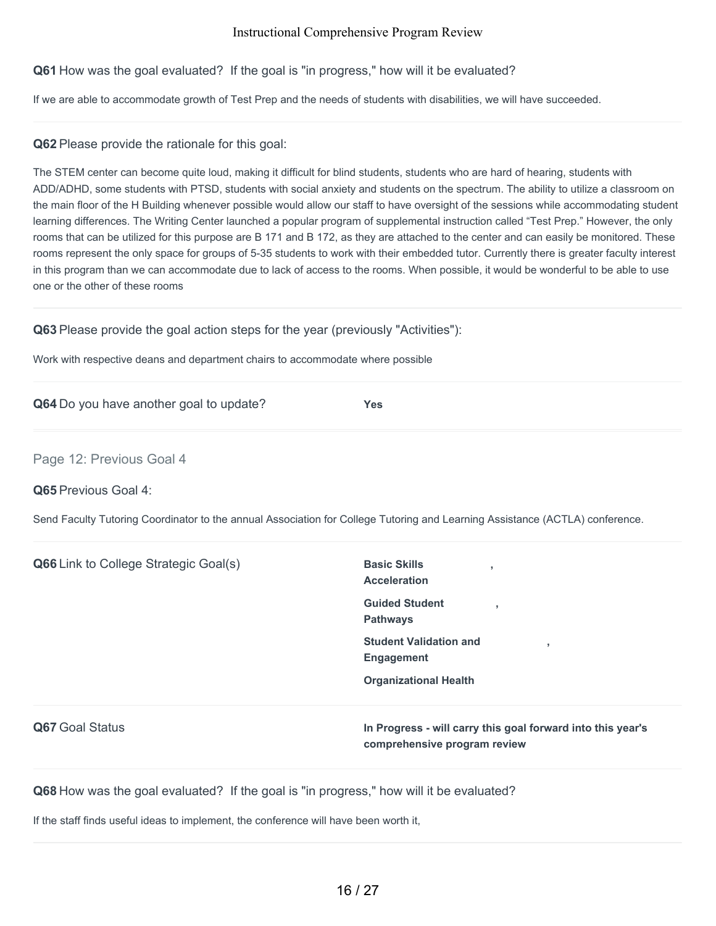**Q61** How was the goal evaluated? If the goal is "in progress," how will it be evaluated?

If we are able to accommodate growth of Test Prep and the needs of students with disabilities, we will have succeeded.

**Q62** Please provide the rationale for this goal:

The STEM center can become quite loud, making it difficult for blind students, students who are hard of hearing, students with ADD/ADHD, some students with PTSD, students with social anxiety and students on the spectrum. The ability to utilize a classroom on the main floor of the H Building whenever possible would allow our staff to have oversight of the sessions while accommodating student learning differences. The Writing Center launched a popular program of supplemental instruction called "Test Prep." However, the only rooms that can be utilized for this purpose are B 171 and B 172, as they are attached to the center and can easily be monitored. These rooms represent the only space for groups of 5-35 students to work with their embedded tutor. Currently there is greater faculty interest in this program than we can accommodate due to lack of access to the rooms. When possible, it would be wonderful to be able to use one or the other of these rooms

**Q63** Please provide the goal action steps for the year (previously "Activities"):

Work with respective deans and department chairs to accommodate where possible

**Q64** Do you have another goal to update? **Yes**

Page 12: Previous Goal 4

**Q65** Previous Goal 4:

Send Faculty Tutoring Coordinator to the annual Association for College Tutoring and Learning Assistance (ACTLA) conference.

**Q66** Link to College Strategic Goal(s) **Basic Skills Acceleration , Guided Student Pathways , Student Validation and Engagement , Organizational Health Q67** Goal Status **In Progress - will carry this goal forward into this year's comprehensive program review**

**Q68** How was the goal evaluated? If the goal is "in progress," how will it be evaluated?

If the staff finds useful ideas to implement, the conference will have been worth it,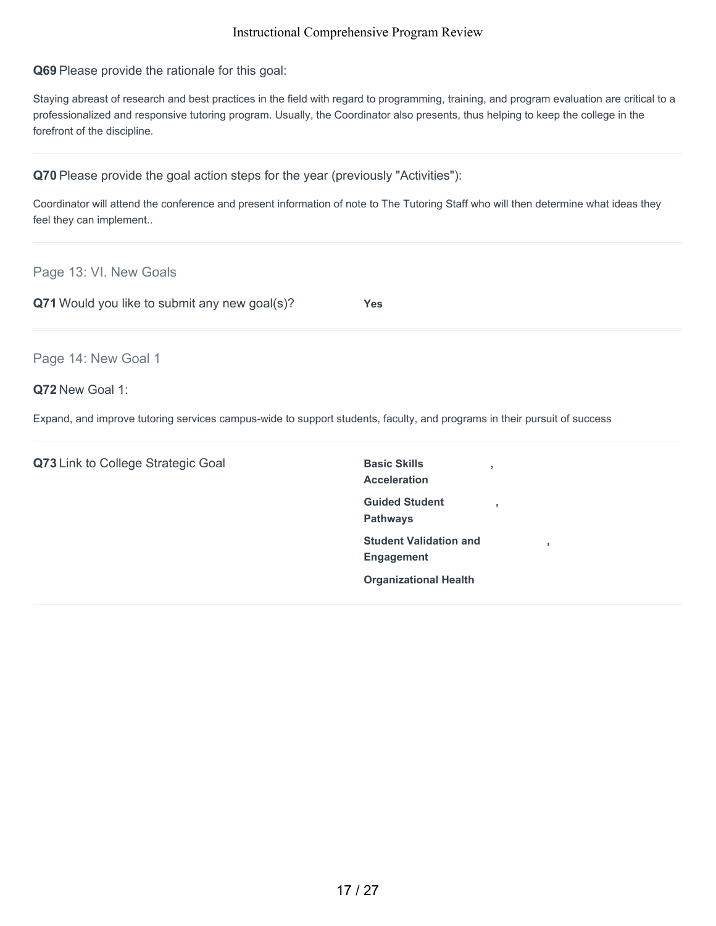**Q69** Please provide the rationale for this goal:

Staying abreast of research and best practices in the field with regard to programming, training, and program evaluation are critical to a professionalized and responsive tutoring program. Usually, the Coordinator also presents, thus helping to keep the college in the forefront of the discipline.

**Q70** Please provide the goal action steps for the year (previously "Activities"):

Coordinator will attend the conference and present information of note to The Tutoring Staff who will then determine what ideas they feel they can implement..

Page 13: VI. New Goals

**Q71** Would you like to submit any new goal(s)? **Yes**

Page 14: New Goal 1

### **Q72** New Goal 1:

Expand, and improve tutoring services campus-wide to support students, faculty, and programs in their pursuit of success

**Q73** Link to College Strategic Goal **Basic Skills** 

**Acceleration Guided Student Pathways Student Validation and Engagement Organizational Health**

**,**

**,**

**,**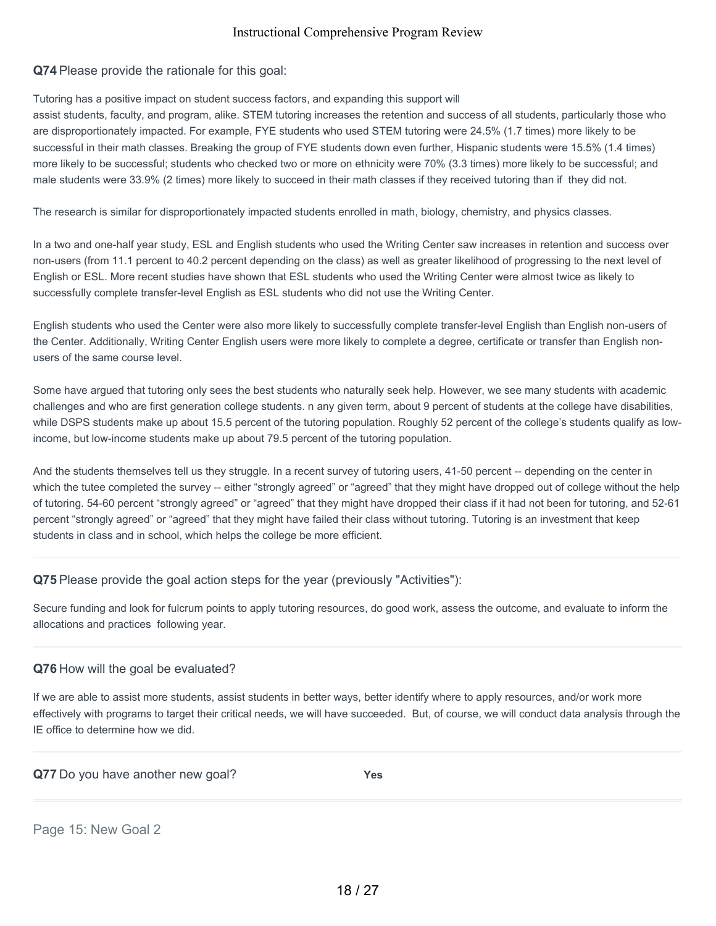**Q74** Please provide the rationale for this goal:

Tutoring has a positive impact on student success factors, and expanding this support will

assist students, faculty, and program, alike. STEM tutoring increases the retention and success of all students, particularly those who are disproportionately impacted. For example, FYE students who used STEM tutoring were 24.5% (1.7 times) more likely to be successful in their math classes. Breaking the group of FYE students down even further, Hispanic students were 15.5% (1.4 times) more likely to be successful; students who checked two or more on ethnicity were 70% (3.3 times) more likely to be successful; and male students were 33.9% (2 times) more likely to succeed in their math classes if they received tutoring than if they did not.

The research is similar for disproportionately impacted students enrolled in math, biology, chemistry, and physics classes.

In a two and one-half year study, ESL and English students who used the Writing Center saw increases in retention and success over non-users (from 11.1 percent to 40.2 percent depending on the class) as well as greater likelihood of progressing to the next level of English or ESL. More recent studies have shown that ESL students who used the Writing Center were almost twice as likely to successfully complete transfer-level English as ESL students who did not use the Writing Center.

English students who used the Center were also more likely to successfully complete transfer-level English than English non-users of the Center. Additionally, Writing Center English users were more likely to complete a degree, certificate or transfer than English nonusers of the same course level.

Some have argued that tutoring only sees the best students who naturally seek help. However, we see many students with academic challenges and who are first generation college students. n any given term, about 9 percent of students at the college have disabilities, while DSPS students make up about 15.5 percent of the tutoring population. Roughly 52 percent of the college's students qualify as lowincome, but low-income students make up about 79.5 percent of the tutoring population.

And the students themselves tell us they struggle. In a recent survey of tutoring users, 41-50 percent -- depending on the center in which the tutee completed the survey -- either "strongly agreed" or "agreed" that they might have dropped out of college without the help of tutoring. 54-60 percent "strongly agreed" or "agreed" that they might have dropped their class if it had not been for tutoring, and 52-61 percent "strongly agreed" or "agreed" that they might have failed their class without tutoring. Tutoring is an investment that keep students in class and in school, which helps the college be more efficient.

**Q75** Please provide the goal action steps for the year (previously "Activities"):

Secure funding and look for fulcrum points to apply tutoring resources, do good work, assess the outcome, and evaluate to inform the allocations and practices following year.

## **Q76** How will the goal be evaluated?

If we are able to assist more students, assist students in better ways, better identify where to apply resources, and/or work more effectively with programs to target their critical needs, we will have succeeded. But, of course, we will conduct data analysis through the IE office to determine how we did.

| Q77 Do you have another new goal? | Yes |
|-----------------------------------|-----|
|                                   |     |

Page 15: New Goal 2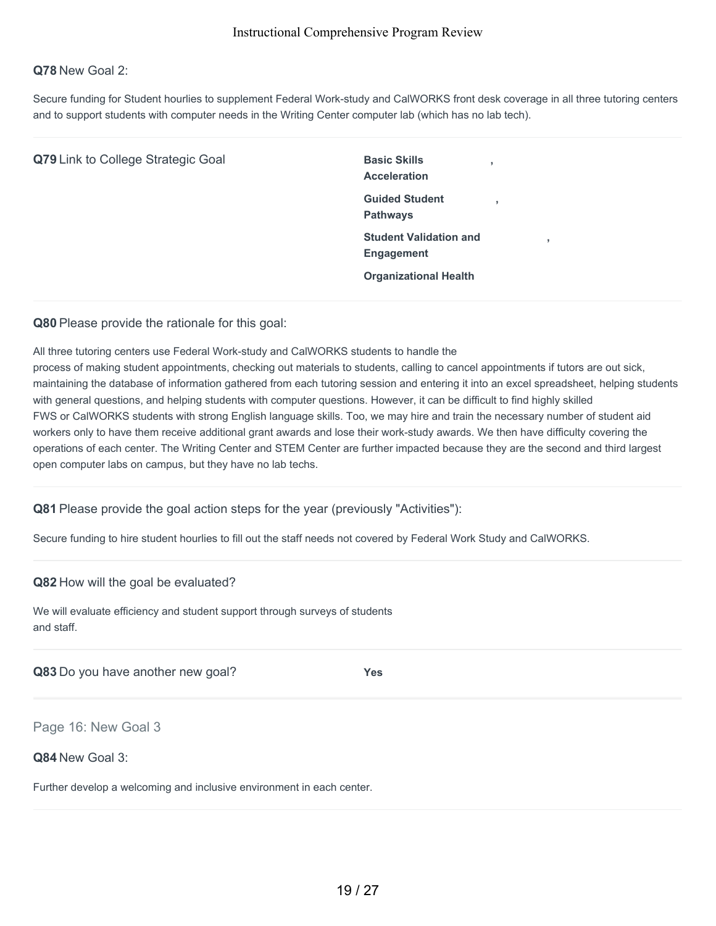#### **Q78** New Goal 2:

Secure funding for Student hourlies to supplement Federal Work-study and CalWORKS front desk coverage in all three tutoring centers and to support students with computer needs in the Writing Center computer lab (which has no lab tech).

| Q79 Link to College Strategic Goal | <b>Basic Skills</b><br>$\overline{2}$<br><b>Acceleration</b> |
|------------------------------------|--------------------------------------------------------------|
|                                    | <b>Guided Student</b><br><b>Pathways</b>                     |
|                                    | <b>Student Validation and</b><br>٠<br><b>Engagement</b>      |
|                                    | <b>Organizational Health</b>                                 |

**Q80** Please provide the rationale for this goal:

All three tutoring centers use Federal Work-study and CalWORKS students to handle the

process of making student appointments, checking out materials to students, calling to cancel appointments if tutors are out sick, maintaining the database of information gathered from each tutoring session and entering it into an excel spreadsheet, helping students with general questions, and helping students with computer questions. However, it can be difficult to find highly skilled FWS or CalWORKS students with strong English language skills. Too, we may hire and train the necessary number of student aid workers only to have them receive additional grant awards and lose their work-study awards. We then have difficulty covering the operations of each center. The Writing Center and STEM Center are further impacted because they are the second and third largest open computer labs on campus, but they have no lab techs.

**Q81** Please provide the goal action steps for the year (previously "Activities"):

Secure funding to hire student hourlies to fill out the staff needs not covered by Federal Work Study and CalWORKS.

#### **Q82** How will the goal be evaluated?

We will evaluate efficiency and student support through surveys of students and staff.

**Q83** Do you have another new goal? **Yes**

Page 16: New Goal 3

**Q84** New Goal 3:

Further develop a welcoming and inclusive environment in each center.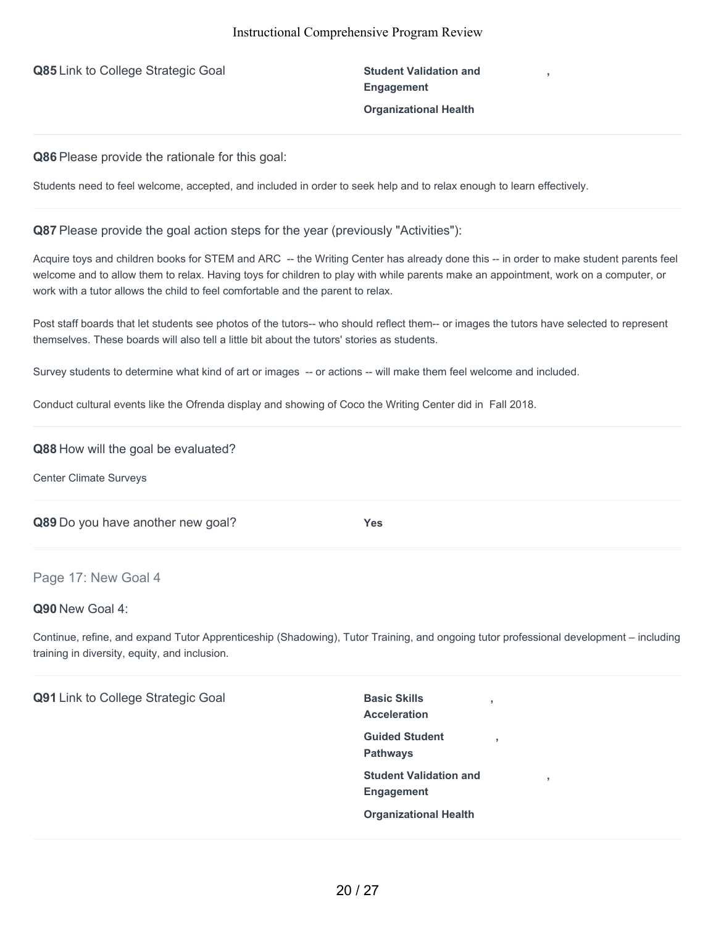**Q85** Link to College Strategic Goal **Student Validation and** 

**Engagement Organizational Health**

**,**

**Q86** Please provide the rationale for this goal:

Students need to feel welcome, accepted, and included in order to seek help and to relax enough to learn effectively.

#### **Q87** Please provide the goal action steps for the year (previously "Activities"):

Acquire toys and children books for STEM and ARC -- the Writing Center has already done this -- in order to make student parents feel welcome and to allow them to relax. Having toys for children to play with while parents make an appointment, work on a computer, or work with a tutor allows the child to feel comfortable and the parent to relax.

Post staff boards that let students see photos of the tutors-- who should reflect them-- or images the tutors have selected to represent themselves. These boards will also tell a little bit about the tutors' stories as students.

Survey students to determine what kind of art or images -- or actions -- will make them feel welcome and included.

Conduct cultural events like the Ofrenda display and showing of Coco the Writing Center did in Fall 2018.

#### **Q88** How will the goal be evaluated?

Center Climate Surveys

**Q89** Do you have another new goal? **Yes**

#### Page 17: New Goal 4

#### **Q90** New Goal 4:

Continue, refine, and expand Tutor Apprenticeship (Shadowing), Tutor Training, and ongoing tutor professional development – including training in diversity, equity, and inclusion.

**Q91** Link to College Strategic Goal **Basic Skills** 

**Acceleration Guided Student Pathways Student Validation and Engagement Organizational Health**

**,**

**,**

**,**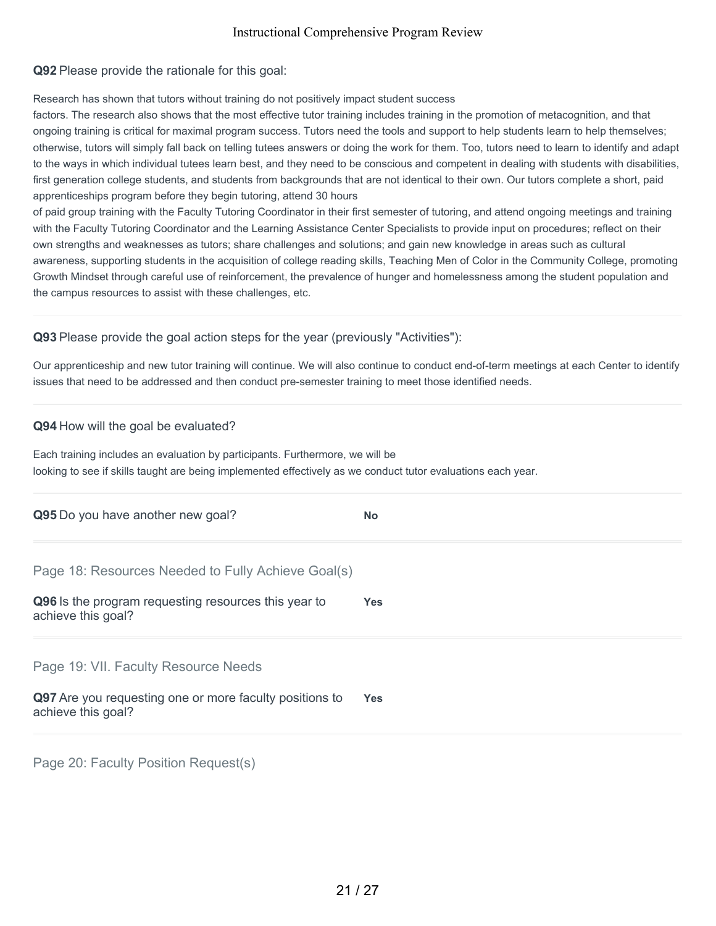**Q92** Please provide the rationale for this goal:

Research has shown that tutors without training do not positively impact student success

factors. The research also shows that the most effective tutor training includes training in the promotion of metacognition, and that ongoing training is critical for maximal program success. Tutors need the tools and support to help students learn to help themselves; otherwise, tutors will simply fall back on telling tutees answers or doing the work for them. Too, tutors need to learn to identify and adapt to the ways in which individual tutees learn best, and they need to be conscious and competent in dealing with students with disabilities, first generation college students, and students from backgrounds that are not identical to their own. Our tutors complete a short, paid apprenticeships program before they begin tutoring, attend 30 hours

of paid group training with the Faculty Tutoring Coordinator in their first semester of tutoring, and attend ongoing meetings and training with the Faculty Tutoring Coordinator and the Learning Assistance Center Specialists to provide input on procedures; reflect on their own strengths and weaknesses as tutors; share challenges and solutions; and gain new knowledge in areas such as cultural awareness, supporting students in the acquisition of college reading skills, Teaching Men of Color in the Community College, promoting Growth Mindset through careful use of reinforcement, the prevalence of hunger and homelessness among the student population and the campus resources to assist with these challenges, etc.

## **Q93** Please provide the goal action steps for the year (previously "Activities"):

Our apprenticeship and new tutor training will continue. We will also continue to conduct end-of-term meetings at each Center to identify issues that need to be addressed and then conduct pre-semester training to meet those identified needs.

#### **Q94** How will the goal be evaluated?

Each training includes an evaluation by participants. Furthermore, we will be looking to see if skills taught are being implemented effectively as we conduct tutor evaluations each year.

| Q95 Do you have another new goal?                                             | <b>No</b>  |
|-------------------------------------------------------------------------------|------------|
| Page 18: Resources Needed to Fully Achieve Goal(s)                            |            |
| Q96 Is the program requesting resources this year to<br>achieve this goal?    | <b>Yes</b> |
| Page 19: VII. Faculty Resource Needs                                          |            |
| Q97 Are you requesting one or more faculty positions to<br>achieve this goal? | <b>Yes</b> |
|                                                                               |            |

Page 20: Faculty Position Request(s)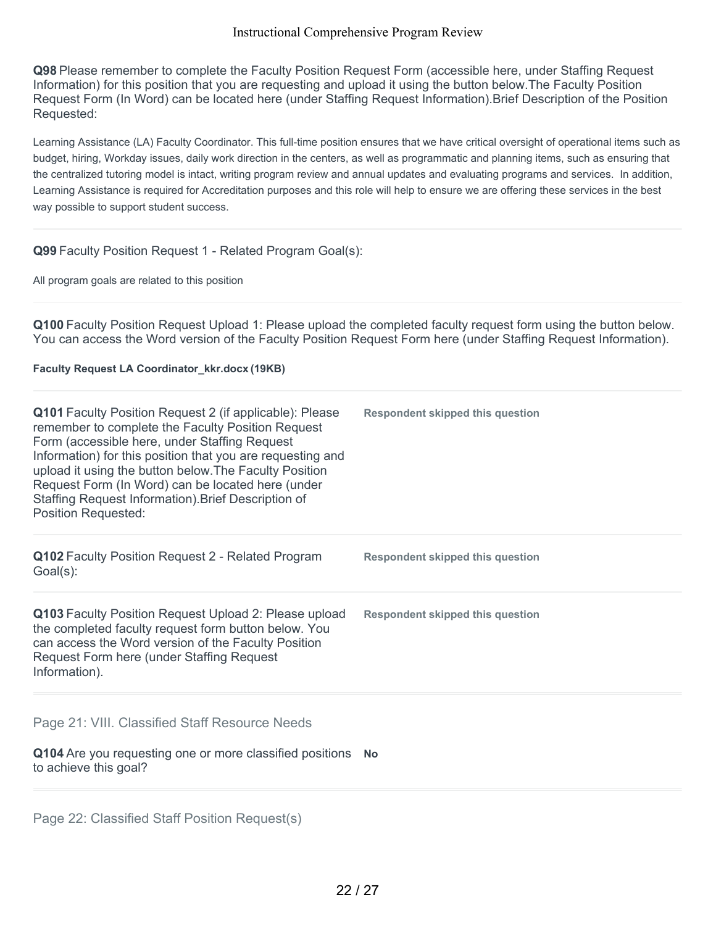**Q98** Please remember to complete the Faculty Position Request Form (accessible here, under Staffing Request Information) for this position that you are requesting and upload it using the button below.The Faculty Position Request Form (In Word) can be located here (under Staffing Request Information).Brief Description of the Position Requested:

Learning Assistance (LA) Faculty Coordinator. This full-time position ensures that we have critical oversight of operational items such as budget, hiring, Workday issues, daily work direction in the centers, as well as programmatic and planning items, such as ensuring that the centralized tutoring model is intact, writing program review and annual updates and evaluating programs and services. In addition, Learning Assistance is required for Accreditation purposes and this role will help to ensure we are offering these services in the best way possible to support student success.

### **Q99** Faculty Position Request 1 - Related Program Goal(s):

All program goals are related to this position

**Q100** Faculty Position Request Upload 1: Please upload the completed faculty request form using the button below. You can access the Word version of the Faculty Position Request Form here (under Staffing Request Information).

#### **Faculty Request LA Coordinator\_kkr.docx (19KB)**

| Q101 Faculty Position Request 2 (if applicable): Please<br>remember to complete the Faculty Position Request<br>Form (accessible here, under Staffing Request<br>Information) for this position that you are requesting and<br>upload it using the button below. The Faculty Position<br>Request Form (In Word) can be located here (under<br>Staffing Request Information). Brief Description of<br><b>Position Requested:</b> | <b>Respondent skipped this question</b> |
|---------------------------------------------------------------------------------------------------------------------------------------------------------------------------------------------------------------------------------------------------------------------------------------------------------------------------------------------------------------------------------------------------------------------------------|-----------------------------------------|
| Q102 Faculty Position Request 2 - Related Program<br>$Goal(s)$ :                                                                                                                                                                                                                                                                                                                                                                | <b>Respondent skipped this question</b> |
| Q103 Faculty Position Request Upload 2: Please upload<br>the completed faculty request form button below. You<br>can access the Word version of the Faculty Position<br>Request Form here (under Staffing Request<br>Information).                                                                                                                                                                                              | <b>Respondent skipped this question</b> |
| Page 21: VIII. Classified Staff Resource Needs<br>Q104 Are you requesting one or more classified positions No<br>to achieve this goal?                                                                                                                                                                                                                                                                                          |                                         |
|                                                                                                                                                                                                                                                                                                                                                                                                                                 |                                         |

Page 22: Classified Staff Position Request(s)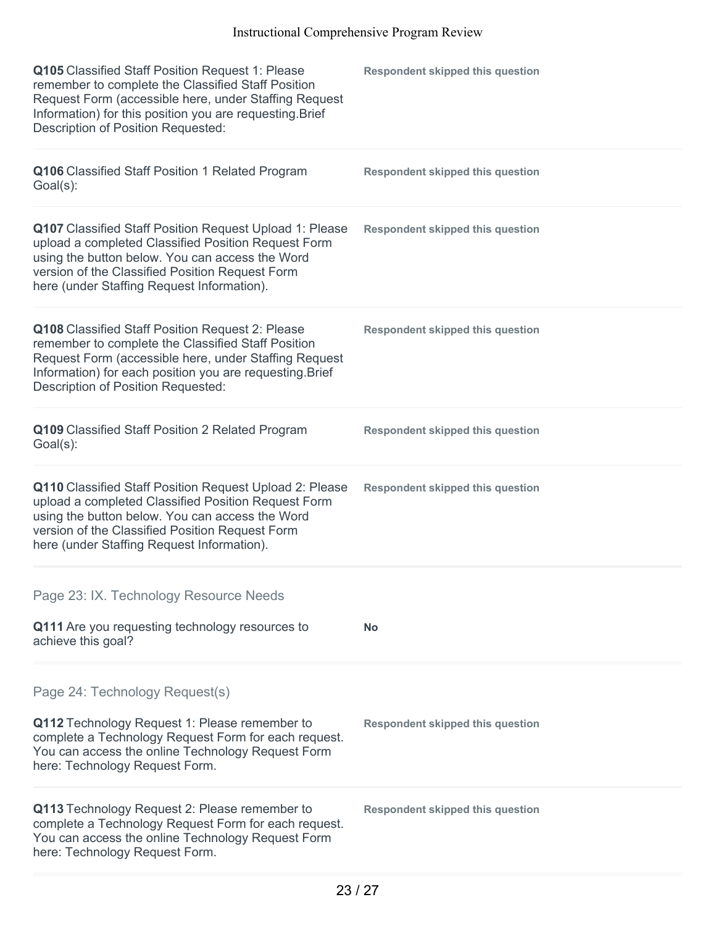| Q105 Classified Staff Position Request 1: Please<br>remember to complete the Classified Staff Position<br>Request Form (accessible here, under Staffing Request<br>Information) for this position you are requesting. Brief<br>Description of Position Requested:  | <b>Respondent skipped this question</b> |
|--------------------------------------------------------------------------------------------------------------------------------------------------------------------------------------------------------------------------------------------------------------------|-----------------------------------------|
| Q106 Classified Staff Position 1 Related Program<br>Goal(s):                                                                                                                                                                                                       | <b>Respondent skipped this question</b> |
| Q107 Classified Staff Position Request Upload 1: Please<br>upload a completed Classified Position Request Form<br>using the button below. You can access the Word<br>version of the Classified Position Request Form<br>here (under Staffing Request Information). | <b>Respondent skipped this question</b> |
| Q108 Classified Staff Position Request 2: Please<br>remember to complete the Classified Staff Position<br>Request Form (accessible here, under Staffing Request<br>Information) for each position you are requesting. Brief<br>Description of Position Requested:  | <b>Respondent skipped this question</b> |
| Q109 Classified Staff Position 2 Related Program<br>Goal(s):                                                                                                                                                                                                       | <b>Respondent skipped this question</b> |
| Q110 Classified Staff Position Request Upload 2: Please<br>upload a completed Classified Position Request Form<br>using the button below. You can access the Word<br>version of the Classified Position Request Form<br>here (under Staffing Request Information). | <b>Respondent skipped this question</b> |
| Page 23: IX. Technology Resource Needs                                                                                                                                                                                                                             |                                         |
| Q111 Are you requesting technology resources to<br>achieve this goal?                                                                                                                                                                                              | No                                      |
| Page 24: Technology Request(s)                                                                                                                                                                                                                                     |                                         |
| Q112 Technology Request 1: Please remember to<br>complete a Technology Request Form for each request.<br>You can access the online Technology Request Form<br>here: Technology Request Form.                                                                       | <b>Respondent skipped this question</b> |
| Q113 Technology Request 2: Please remember to<br>complete a Technology Request Form for each request.<br>You can access the online Technology Request Form<br>here: Technology Request Form.                                                                       | <b>Respondent skipped this question</b> |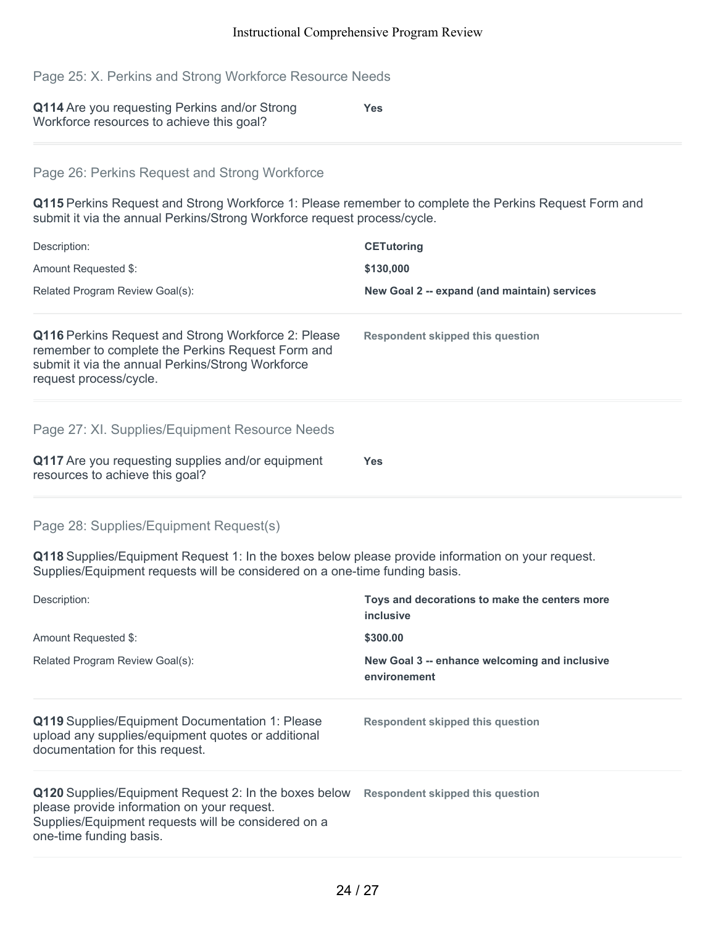Page 25: X. Perkins and Strong Workforce Resource Needs

| Q114 Are you requesting Perkins and/or Strong | <b>Yes</b> |
|-----------------------------------------------|------------|
| Workforce resources to achieve this goal?     |            |

## Page 26: Perkins Request and Strong Workforce

**Q115** Perkins Request and Strong Workforce 1: Please remember to complete the Perkins Request Form and submit it via the annual Perkins/Strong Workforce request process/cycle.

| Description:                                                                                                                                                                                   | <b>CETutoring</b>                            |
|------------------------------------------------------------------------------------------------------------------------------------------------------------------------------------------------|----------------------------------------------|
| Amount Requested \$:                                                                                                                                                                           | \$130,000                                    |
| Related Program Review Goal(s):                                                                                                                                                                | New Goal 2 -- expand (and maintain) services |
| <b>Q116</b> Perkins Request and Strong Workforce 2: Please<br>remember to complete the Perkins Request Form and<br>submit it via the annual Perkins/Strong Workforce<br>request process/cycle. | <b>Respondent skipped this question</b>      |
| Page 27: XI. Supplies/Equipment Resource Needs                                                                                                                                                 |                                              |
| Q117 Are you requesting supplies and/or equipment<br>resources to achieve this goal?                                                                                                           | Yes.                                         |

#### Page 28: Supplies/Equipment Request(s)

**Q118** Supplies/Equipment Request 1: In the boxes below please provide information on your request. Supplies/Equipment requests will be considered on a one-time funding basis.

| Description:                                                                                                                                                                           | Toys and decorations to make the centers more<br>inclusive    |
|----------------------------------------------------------------------------------------------------------------------------------------------------------------------------------------|---------------------------------------------------------------|
| Amount Requested \$:                                                                                                                                                                   | \$300.00                                                      |
| Related Program Review Goal(s):                                                                                                                                                        | New Goal 3 -- enhance welcoming and inclusive<br>environement |
| Q119 Supplies/Equipment Documentation 1: Please<br>upload any supplies/equipment quotes or additional<br>documentation for this request.                                               | <b>Respondent skipped this question</b>                       |
| Q120 Supplies/Equipment Request 2: In the boxes below<br>please provide information on your request.<br>Supplies/Equipment requests will be considered on a<br>one-time funding basis. | Respondent skipped this question                              |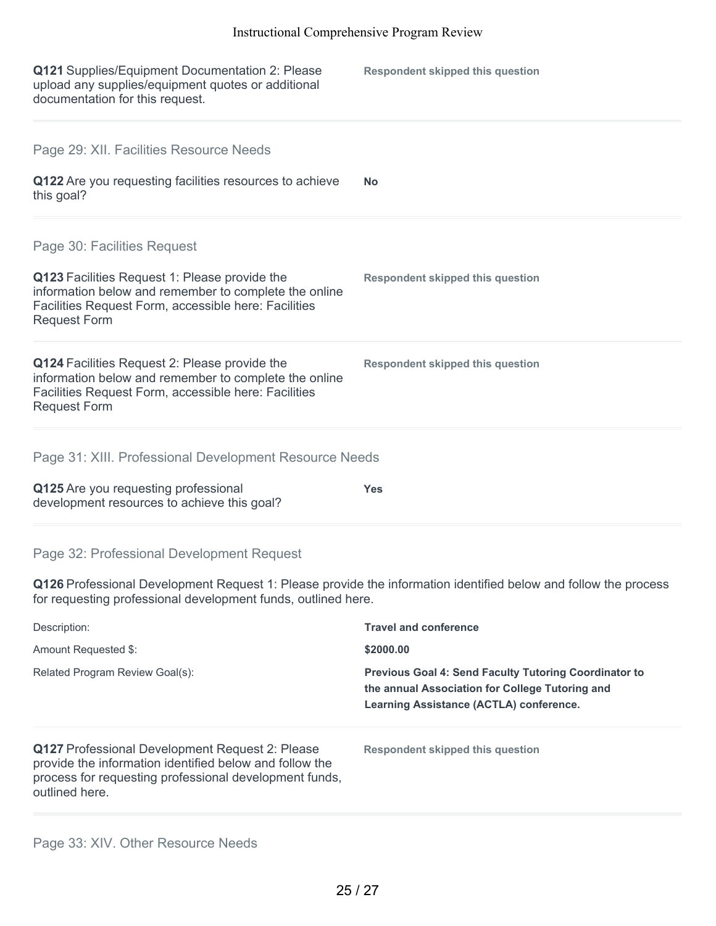| Q121 Supplies/Equipment Documentation 2: Please<br>upload any supplies/equipment quotes or additional<br>documentation for this request.                                              | <b>Respondent skipped this question</b> |  |
|---------------------------------------------------------------------------------------------------------------------------------------------------------------------------------------|-----------------------------------------|--|
| Page 29: XII. Facilities Resource Needs                                                                                                                                               |                                         |  |
| Q122 Are you requesting facilities resources to achieve<br>this goal?                                                                                                                 | <b>No</b>                               |  |
| Page 30: Facilities Request                                                                                                                                                           |                                         |  |
| Q123 Facilities Request 1: Please provide the<br>information below and remember to complete the online<br>Facilities Request Form, accessible here: Facilities<br><b>Request Form</b> | <b>Respondent skipped this question</b> |  |
| Q124 Facilities Request 2: Please provide the<br>information below and remember to complete the online<br>Facilities Request Form, accessible here: Facilities<br><b>Request Form</b> | <b>Respondent skipped this question</b> |  |
| Page 31: XIII. Professional Development Resource Needs                                                                                                                                |                                         |  |
| Q125 Are you requesting professional<br>development resources to achieve this goal?                                                                                                   | <b>Yes</b>                              |  |
| Page 32: Professional Development Request                                                                                                                                             |                                         |  |
| Q126 Professional Development Request 1: Please provide the information identified below and follow the process<br>for requesting professional development funds, outlined here.      |                                         |  |
| Description:                                                                                                                                                                          | <b>Travel and conference</b>            |  |
| Amount Requested \$:                                                                                                                                                                  | \$2000.00                               |  |

Related Program Review Goal(s): **Previous Goal 4: Send Faculty Tutoring Coordinator to**

**Q127** Professional Development Request 2: Please provide the information identified below and follow the process for requesting professional development funds, outlined here.

**Respondent skipped this question**

**the annual Association for College Tutoring and Learning Assistance (ACTLA) conference.**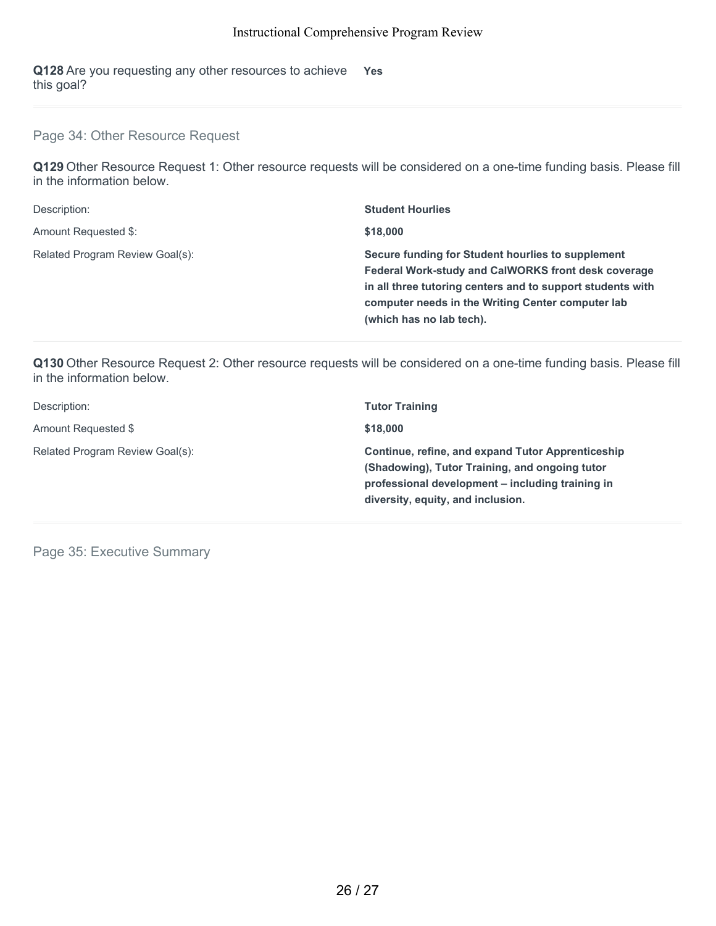**Q128** Are you requesting any other resources to achieve this goal? **Yes**

## Page 34: Other Resource Request

**Q129** Other Resource Request 1: Other resource requests will be considered on a one-time funding basis. Please fill in the information below.

| Description:                    | <b>Student Hourlies</b>                                                                                                                                                                                                                                        |
|---------------------------------|----------------------------------------------------------------------------------------------------------------------------------------------------------------------------------------------------------------------------------------------------------------|
| Amount Requested \$:            | \$18,000                                                                                                                                                                                                                                                       |
| Related Program Review Goal(s): | Secure funding for Student hourlies to supplement<br><b>Federal Work-study and CalWORKS front desk coverage</b><br>in all three tutoring centers and to support students with<br>computer needs in the Writing Center computer lab<br>(which has no lab tech). |

**Q130** Other Resource Request 2: Other resource requests will be considered on a one-time funding basis. Please fill in the information below.

| Description:                    | <b>Tutor Training</b>                                                                                                                                                                        |
|---------------------------------|----------------------------------------------------------------------------------------------------------------------------------------------------------------------------------------------|
| Amount Requested \$             | \$18,000                                                                                                                                                                                     |
| Related Program Review Goal(s): | Continue, refine, and expand Tutor Apprenticeship<br>(Shadowing), Tutor Training, and ongoing tutor<br>professional development – including training in<br>diversity, equity, and inclusion. |

Page 35: Executive Summary